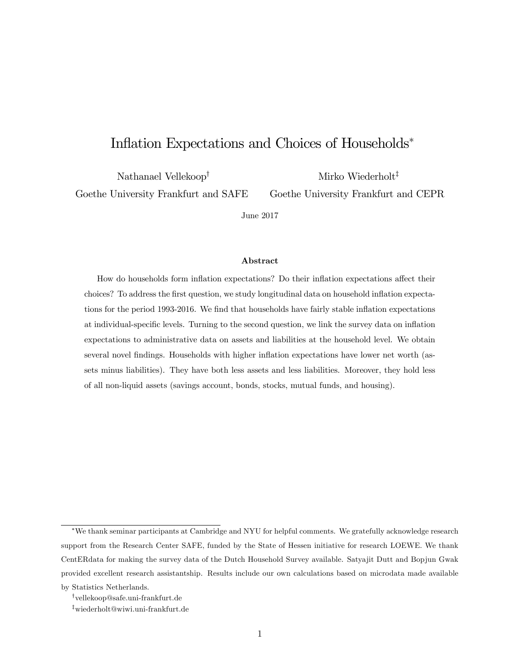# Inflation Expectations and Choices of Households<sup>∗</sup>

Nathanael Vellekoop†

Mirko Wiederholt‡

Goethe University Frankfurt and SAFE

Goethe University Frankfurt and CEPR

June 2017

#### Abstract

How do households form inflation expectations? Do their inflation expectations affect their choices? To address the first question, we study longitudinal data on household inflation expectations for the period 1993-2016. We find that households have fairly stable inflation expectations at individual-specific levels. Turning to the second question, we link the survey data on inflation expectations to administrative data on assets and liabilities at the household level. We obtain several novel findings. Households with higher inflation expectations have lower net worth (assets minus liabilities). They have both less assets and less liabilities. Moreover, they hold less of all non-liquid assets (savings account, bonds, stocks, mutual funds, and housing).

<sup>∗</sup>We thank seminar participants at Cambridge and NYU for helpful comments. We gratefully acknowledge research support from the Research Center SAFE, funded by the State of Hessen initiative for research LOEWE. We thank CentERdata for making the survey data of the Dutch Household Survey available. Satyajit Dutt and Bopjun Gwak provided excellent research assistantship. Results include our own calculations based on microdata made available

by Statistics Netherlands.

<sup>†</sup>vellekoop@safe.uni-frankfurt.de

<sup>‡</sup>wiederholt@wiwi.uni-frankfurt.de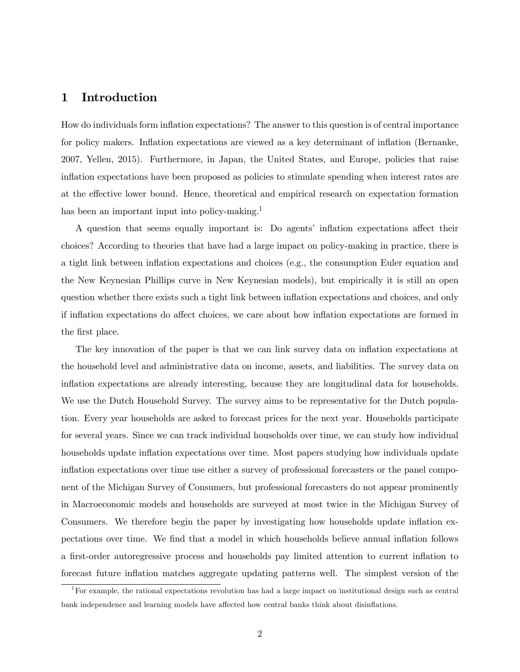# 1 Introduction

How do individuals form inflation expectations? The answer to this question is of central importance for policy makers. Inflation expectations are viewed as a key determinant of inflation (Bernanke, 2007, Yellen, 2015). Furthermore, in Japan, the United States, and Europe, policies that raise inflation expectations have been proposed as policies to stimulate spending when interest rates are at the effective lower bound. Hence, theoretical and empirical research on expectation formation has been an important input into policy-making.<sup>1</sup>

A question that seems equally important is: Do agents' inflation expectations affect their choices? According to theories that have had a large impact on policy-making in practice, there is a tight link between inflation expectations and choices (e.g., the consumption Euler equation and the New Keynesian Phillips curve in New Keynesian models), but empirically it is still an open question whether there exists such a tight link between inflation expectations and choices, and only if inflation expectations do affect choices, we care about how inflation expectations are formed in the first place.

The key innovation of the paper is that we can link survey data on inflation expectations at the household level and administrative data on income, assets, and liabilities. The survey data on inflation expectations are already interesting, because they are longitudinal data for households. We use the Dutch Household Survey. The survey aims to be representative for the Dutch population. Every year households are asked to forecast prices for the next year. Households participate for several years. Since we can track individual households over time, we can study how individual households update inflation expectations over time. Most papers studying how individuals update inflation expectations over time use either a survey of professional forecasters or the panel component of the Michigan Survey of Consumers, but professional forecasters do not appear prominently in Macroeconomic models and households are surveyed at most twice in the Michigan Survey of Consumers. We therefore begin the paper by investigating how households update inflation expectations over time. We find that a model in which households believe annual inflation follows a first-order autoregressive process and households pay limited attention to current inflation to forecast future inflation matches aggregate updating patterns well. The simplest version of the

<sup>1</sup>For example, the rational expectations revolution has had a large impact on institutional design such as central bank independence and learning models have affected how central banks think about disinflations.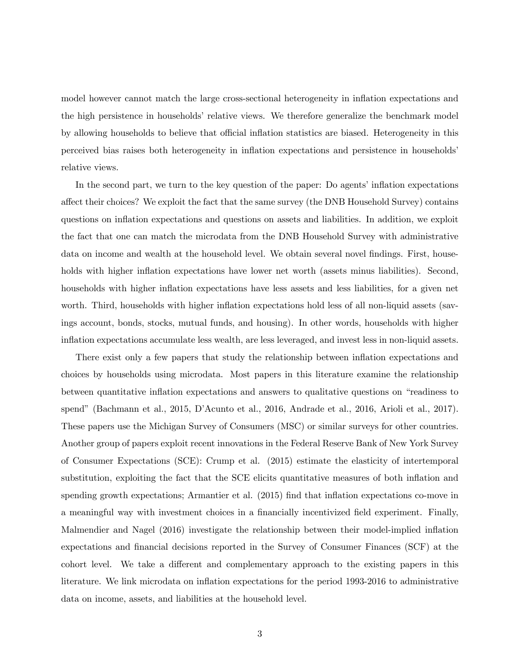model however cannot match the large cross-sectional heterogeneity in inflation expectations and the high persistence in households' relative views. We therefore generalize the benchmark model by allowing households to believe that official inflation statistics are biased. Heterogeneity in this perceived bias raises both heterogeneity in inflation expectations and persistence in households' relative views.

In the second part, we turn to the key question of the paper: Do agents' inflation expectations affect their choices? We exploit the fact that the same survey (the DNB Household Survey) contains questions on inflation expectations and questions on assets and liabilities. In addition, we exploit the fact that one can match the microdata from the DNB Household Survey with administrative data on income and wealth at the household level. We obtain several novel findings. First, households with higher inflation expectations have lower net worth (assets minus liabilities). Second, households with higher inflation expectations have less assets and less liabilities, for a given net worth. Third, households with higher inflation expectations hold less of all non-liquid assets (savings account, bonds, stocks, mutual funds, and housing). In other words, households with higher inflation expectations accumulate less wealth, are less leveraged, and invest less in non-liquid assets.

There exist only a few papers that study the relationship between inflation expectations and choices by households using microdata. Most papers in this literature examine the relationship between quantitative inflation expectations and answers to qualitative questions on "readiness to spend" (Bachmann et al., 2015, D'Acunto et al., 2016, Andrade et al., 2016, Arioli et al., 2017). These papers use the Michigan Survey of Consumers (MSC) or similar surveys for other countries. Another group of papers exploit recent innovations in the Federal Reserve Bank of New York Survey of Consumer Expectations (SCE): Crump et al. (2015) estimate the elasticity of intertemporal substitution, exploiting the fact that the SCE elicits quantitative measures of both inflation and spending growth expectations; Armantier et al. (2015) find that inflation expectations co-move in a meaningful way with investment choices in a financially incentivized field experiment. Finally, Malmendier and Nagel (2016) investigate the relationship between their model-implied inflation expectations and financial decisions reported in the Survey of Consumer Finances (SCF) at the cohort level. We take a different and complementary approach to the existing papers in this literature. We link microdata on inflation expectations for the period 1993-2016 to administrative data on income, assets, and liabilities at the household level.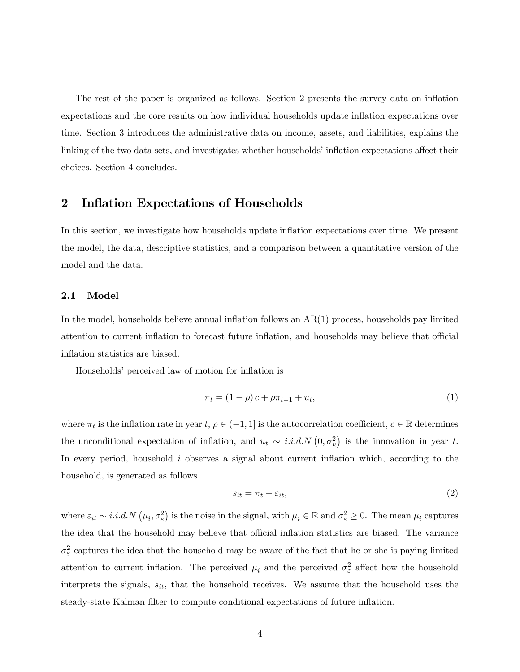The rest of the paper is organized as follows. Section 2 presents the survey data on inflation expectations and the core results on how individual households update inflation expectations over time. Section 3 introduces the administrative data on income, assets, and liabilities, explains the linking of the two data sets, and investigates whether households' inflation expectations affect their choices. Section 4 concludes.

### 2 Inflation Expectations of Households

In this section, we investigate how households update inflation expectations over time. We present the model, the data, descriptive statistics, and a comparison between a quantitative version of the model and the data.

### 2.1 Model

In the model, households believe annual inflation follows an  $AR(1)$  process, households pay limited attention to current inflation to forecast future inflation, and households may believe that official inflation statistics are biased.

Households' perceived law of motion for inflation is

$$
\pi_t = (1 - \rho)c + \rho \pi_{t-1} + u_t,\tag{1}
$$

where  $\pi_t$  is the inflation rate in year  $t, \rho \in (-1, 1]$  is the autocorrelation coefficient,  $c \in \mathbb{R}$  determines the unconditional expectation of inflation, and  $u_t \sim i.i.d.N(0, \sigma_u^2)$  is the innovation in year t. In every period, household  $i$  observes a signal about current inflation which, according to the household, is generated as follows

$$
s_{it} = \pi_t + \varepsilon_{it},\tag{2}
$$

where  $\varepsilon_{it} \sim i.i.d.N(\mu_i, \sigma_{\varepsilon}^2)$  is the noise in the signal, with  $\mu_i \in \mathbb{R}$  and  $\sigma_{\varepsilon}^2 \geq 0$ . The mean  $\mu_i$  captures the idea that the household may believe that official inflation statistics are biased. The variance  $\sigma_{\varepsilon}^2$  captures the idea that the household may be aware of the fact that he or she is paying limited attention to current inflation. The perceived  $\mu_i$  and the perceived  $\sigma_{\varepsilon}^2$  affect how the household interprets the signals,  $s_{it}$ , that the household receives. We assume that the household uses the steady-state Kalman filter to compute conditional expectations of future inflation.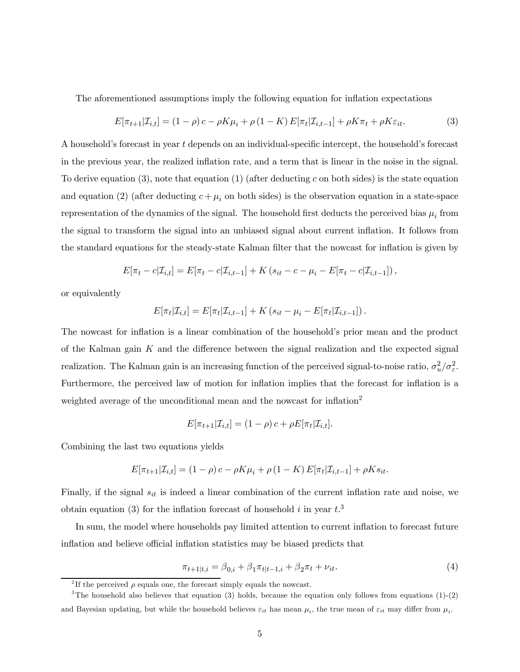The aforementioned assumptions imply the following equation for inflation expectations

$$
E[\pi_{t+1}|\mathcal{I}_{i,t}] = (1-\rho)c - \rho K\mu_i + \rho(1-K)E[\pi_t|\mathcal{I}_{i,t-1}] + \rho K\pi_t + \rho K\varepsilon_{it}.
$$
 (3)

A household's forecast in year t depends on an individual-specific intercept, the household's forecast in the previous year, the realized inflation rate, and a term that is linear in the noise in the signal. To derive equation  $(3)$ , note that equation  $(1)$  (after deducting c on both sides) is the state equation and equation (2) (after deducting  $c + \mu_i$  on both sides) is the observation equation in a state-space representation of the dynamics of the signal. The household first deducts the perceived bias  $\mu_i$  from the signal to transform the signal into an unbiased signal about current inflation. It follows from the standard equations for the steady-state Kalman filter that the nowcast for inflation is given by

$$
E[\pi_t - c | \mathcal{I}_{i,t}] = E[\pi_t - c | \mathcal{I}_{i,t-1}] + K (s_{it} - c - \mu_i - E[\pi_t - c | \mathcal{I}_{i,t-1}]),
$$

or equivalently

$$
E[\pi_t | \mathcal{I}_{i,t}] = E[\pi_t | \mathcal{I}_{i,t-1}] + K (s_{it} - \mu_i - E[\pi_t | \mathcal{I}_{i,t-1}]).
$$

The nowcast for inflation is a linear combination of the household's prior mean and the product of the Kalman gain K and the difference between the signal realization and the expected signal realization. The Kalman gain is an increasing function of the perceived signal-to-noise ratio,  $\sigma_u^2/\sigma_{\varepsilon}^2$ . Furthermore, the perceived law of motion for inflation implies that the forecast for inflation is a weighted average of the unconditional mean and the nowcast for inflation<sup>2</sup>

$$
E[\pi_{t+1}|\mathcal{I}_{i,t}] = (1-\rho)c + \rho E[\pi_t|\mathcal{I}_{i,t}].
$$

Combining the last two equations yields

$$
E[\pi_{t+1}|\mathcal{I}_{i,t}] = (1-\rho)c - \rho K\mu_i + \rho (1-K) E[\pi_t|\mathcal{I}_{i,t-1}] + \rho K s_{it}.
$$

Finally, if the signal  $s_{it}$  is indeed a linear combination of the current inflation rate and noise, we obtain equation (3) for the inflation forecast of household i in year  $t^3$ .

In sum, the model where households pay limited attention to current inflation to forecast future inflation and believe official inflation statistics may be biased predicts that

$$
\pi_{t+1|t,i} = \beta_{0,i} + \beta_1 \pi_{t|t-1,i} + \beta_2 \pi_t + \nu_{it}.
$$
\n(4)

<sup>&</sup>lt;sup>2</sup>If the perceived  $\rho$  equals one, the forecast simply equals the nowcast.

<sup>&</sup>lt;sup>3</sup>The household also believes that equation (3) holds, because the equation only follows from equations  $(1)-(2)$ and Bayesian updating, but while the household believes  $\varepsilon_{it}$  has mean  $\mu_i$ , the true mean of  $\varepsilon_{it}$  may differ from  $\mu_i$ .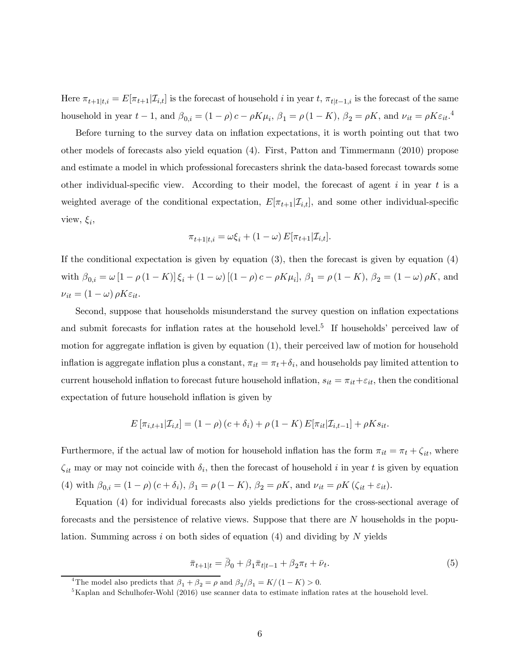Here  $\pi_{t+1|t,i} = E[\pi_{t+1}|\mathcal{I}_{i,t}]$  is the forecast of household i in year t,  $\pi_{t|t-1,i}$  is the forecast of the same household in year  $t-1$ , and  $\beta_{0,i} = (1-\rho)c - \rho K \mu_i$ ,  $\beta_1 = \rho(1-K)$ ,  $\beta_2 = \rho K$ , and  $\nu_{it} = \rho K \varepsilon_{it}$ .<sup>4</sup>

Before turning to the survey data on inflation expectations, it is worth pointing out that two other models of forecasts also yield equation (4). First, Patton and Timmermann (2010) propose and estimate a model in which professional forecasters shrink the data-based forecast towards some other individual-specific view. According to their model, the forecast of agent i in year t is a weighted average of the conditional expectation,  $E[\pi_{t+1}|\mathcal{I}_{i,t}]$ , and some other individual-specific view,  $\xi_i$ ,

$$
\pi_{t+1|t,i} = \omega \xi_i + (1 - \omega) E[\pi_{t+1}|\mathcal{I}_{i,t}].
$$

If the conditional expectation is given by equation  $(3)$ , then the forecast is given by equation  $(4)$ with  $\beta_{0,i} = \omega [1 - \rho (1 - K)] \xi_i + (1 - \omega) [(1 - \rho) c - \rho K \mu_i], \beta_1 = \rho (1 - K), \beta_2 = (1 - \omega) \rho K$ , and  $\nu_{it} = (1 - \omega) \rho K \varepsilon_{it}.$ 

Second, suppose that households misunderstand the survey question on inflation expectations and submit forecasts for inflation rates at the household level.<sup>5</sup> If households' perceived law of motion for aggregate inflation is given by equation (1), their perceived law of motion for household inflation is aggregate inflation plus a constant,  $\pi_{it} = \pi_t + \delta_i$ , and households pay limited attention to current household inflation to forecast future household inflation,  $s_{it} = \pi_{it} + \varepsilon_{it}$ , then the conditional expectation of future household inflation is given by

$$
E\left[\pi_{i,t+1}|\mathcal{I}_{i,t}\right] = (1-\rho)(c+\delta_i) + \rho(1-K)E[\pi_{it}|\mathcal{I}_{i,t-1}] + \rho K s_{it}.
$$

Furthermore, if the actual law of motion for household inflation has the form  $\pi_{it} = \pi_t + \zeta_{it}$ , where  $\zeta_{it}$  may or may not coincide with  $\delta_i$ , then the forecast of household i in year t is given by equation (4) with  $\beta_{0,i} = (1 - \rho) (c + \delta_i)$ ,  $\beta_1 = \rho (1 - K)$ ,  $\beta_2 = \rho K$ , and  $\nu_{it} = \rho K (\zeta_{it} + \varepsilon_{it})$ .

Equation (4) for individual forecasts also yields predictions for the cross-sectional average of forecasts and the persistence of relative views. Suppose that there are N households in the population. Summing across i on both sides of equation  $(4)$  and dividing by N yields

$$
\bar{\pi}_{t+1|t} = \bar{\beta}_0 + \beta_1 \bar{\pi}_{t|t-1} + \beta_2 \pi_t + \bar{\nu}_t.
$$
\n(5)

<sup>&</sup>lt;sup>4</sup>The model also predicts that  $\beta_1 + \beta_2 = \rho$  and  $\beta_2/\beta_1 = K/(1 - K) > 0$ .<br><sup>5</sup>Kaplan and Schulhofer-Wohl (2016) use scanner data to estimate inflation rates at the household level.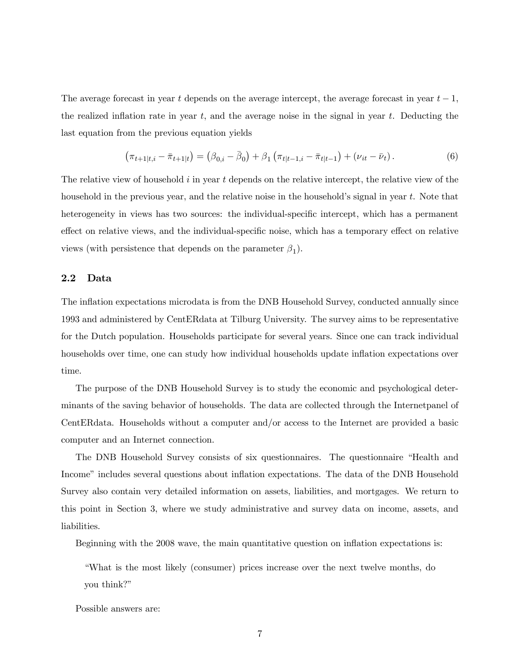The average forecast in year t depends on the average intercept, the average forecast in year  $t - 1$ , the realized inflation rate in year  $t$ , and the average noise in the signal in year  $t$ . Deducting the last equation from the previous equation yields

$$
(\pi_{t+1|t,i} - \bar{\pi}_{t+1|t}) = (\beta_{0,i} - \bar{\beta}_0) + \beta_1 (\pi_{t|t-1,i} - \bar{\pi}_{t|t-1}) + (\nu_{it} - \bar{\nu}_t).
$$
\n(6)

The relative view of household  $i$  in year  $t$  depends on the relative intercept, the relative view of the household in the previous year, and the relative noise in the household's signal in year t. Note that heterogeneity in views has two sources: the individual-specific intercept, which has a permanent effect on relative views, and the individual-specific noise, which has a temporary effect on relative views (with persistence that depends on the parameter  $\beta_1$ ).

#### 2.2 Data

The inflation expectations microdata is from the DNB Household Survey, conducted annually since 1993 and administered by CentERdata at Tilburg University. The survey aims to be representative for the Dutch population. Households participate for several years. Since one can track individual households over time, one can study how individual households update inflation expectations over time.

The purpose of the DNB Household Survey is to study the economic and psychological determinants of the saving behavior of households. The data are collected through the Internetpanel of CentERdata. Households without a computer and/or access to the Internet are provided a basic computer and an Internet connection.

The DNB Household Survey consists of six questionnaires. The questionnaire "Health and Income" includes several questions about inflation expectations. The data of the DNB Household Survey also contain very detailed information on assets, liabilities, and mortgages. We return to this point in Section 3, where we study administrative and survey data on income, assets, and liabilities.

Beginning with the 2008 wave, the main quantitative question on inflation expectations is:

"What is the most likely (consumer) prices increase over the next twelve months, do you think?"

Possible answers are: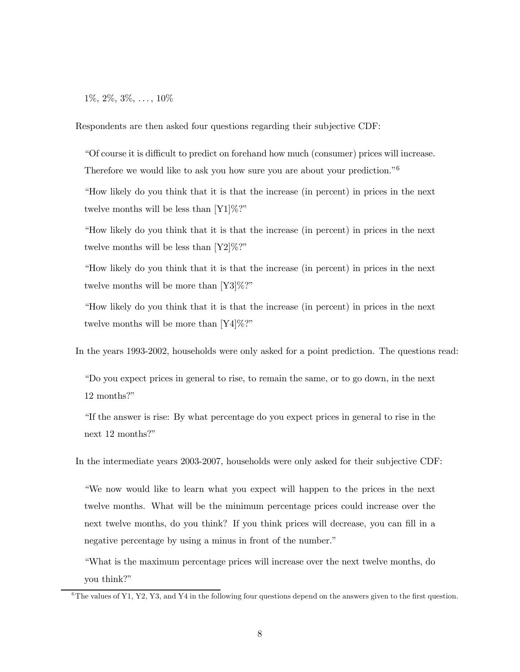$1\%, 2\%, 3\%, \ldots, 10\%$ 

Respondents are then asked four questions regarding their subjective CDF:

"Of course it is difficult to predict on forehand how much (consumer) prices will increase. Therefore we would like to ask you how sure you are about your prediction.<sup>"6</sup>

"How likely do you think that it is that the increase (in percent) in prices in the next twelve months will be less than  $[Y1]\%$ ?"

"How likely do you think that it is that the increase (in percent) in prices in the next twelve months will be less than  $[Y2]\%$ ?"

"How likely do you think that it is that the increase (in percent) in prices in the next twelve months will be more than [Y3]%?"

"How likely do you think that it is that the increase (in percent) in prices in the next twelve months will be more than [Y4]%?"

In the years 1993-2002, households were only asked for a point prediction. The questions read:

"Do you expect prices in general to rise, to remain the same, or to go down, in the next 12 months?"

"If the answer is rise: By what percentage do you expect prices in general to rise in the next 12 months?"

In the intermediate years 2003-2007, households were only asked for their subjective CDF:

"We now would like to learn what you expect will happen to the prices in the next twelve months. What will be the minimum percentage prices could increase over the next twelve months, do you think? If you think prices will decrease, you can fill in a negative percentage by using a minus in front of the number."

"What is the maximum percentage prices will increase over the next twelve months, do you think?"

 $6$ The values of Y1, Y2, Y3, and Y4 in the following four questions depend on the answers given to the first question.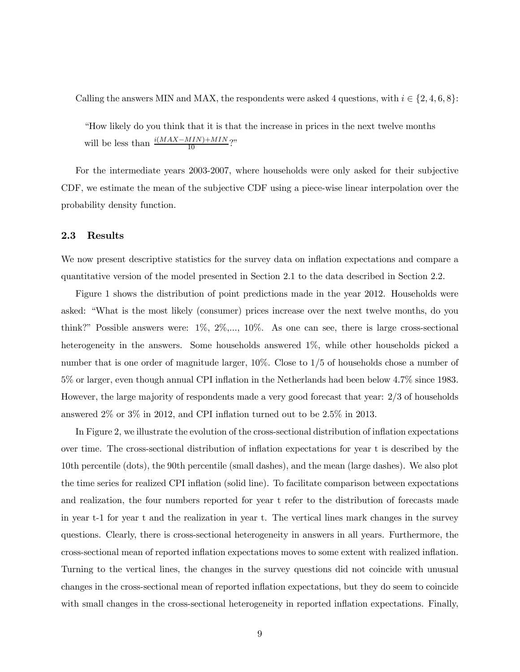Calling the answers MIN and MAX, the respondents were asked 4 questions, with  $i \in \{2, 4, 6, 8\}$ :

"How likely do you think that it is that the increase in prices in the next twelve months will be less than  $\frac{i(MAX-MIN)+MIN}{10}$ ?"

For the intermediate years 2003-2007, where households were only asked for their subjective CDF, we estimate the mean of the subjective CDF using a piece-wise linear interpolation over the probability density function.

#### 2.3 Results

We now present descriptive statistics for the survey data on inflation expectations and compare a quantitative version of the model presented in Section 2.1 to the data described in Section 2.2.

Figure 1 shows the distribution of point predictions made in the year 2012. Households were asked: "What is the most likely (consumer) prices increase over the next twelve months, do you think?" Possible answers were:  $1\%$ ,  $2\%$ ,...,  $10\%$ . As one can see, there is large cross-sectional heterogeneity in the answers. Some households answered 1%, while other households picked a number that is one order of magnitude larger,  $10\%$ . Close to  $1/5$  of households chose a number of 5% or larger, even though annual CPI inflation in the Netherlands had been below 4.7% since 1983. However, the large majority of respondents made a very good forecast that year: 2/3 of households answered 2% or 3% in 2012, and CPI inflation turned out to be 2.5% in 2013.

In Figure 2, we illustrate the evolution of the cross-sectional distribution of inflation expectations over time. The cross-sectional distribution of inflation expectations for year t is described by the 10th percentile (dots), the 90th percentile (small dashes), and the mean (large dashes). We also plot the time series for realized CPI inflation (solid line). To facilitate comparison between expectations and realization, the four numbers reported for year t refer to the distribution of forecasts made in year t-1 for year t and the realization in year t. The vertical lines mark changes in the survey questions. Clearly, there is cross-sectional heterogeneity in answers in all years. Furthermore, the cross-sectional mean of reported inflation expectations moves to some extent with realized inflation. Turning to the vertical lines, the changes in the survey questions did not coincide with unusual changes in the cross-sectional mean of reported inflation expectations, but they do seem to coincide with small changes in the cross-sectional heterogeneity in reported inflation expectations. Finally,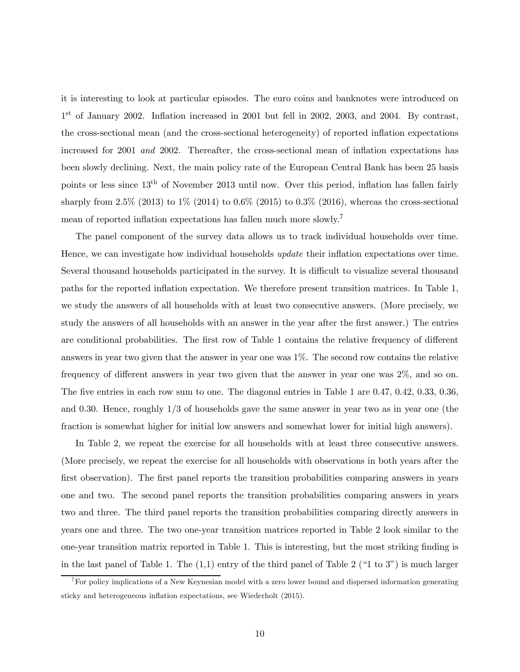it is interesting to look at particular episodes. The euro coins and banknotes were introduced on 1st of January 2002. Inflation increased in 2001 but fell in 2002, 2003, and 2004. By contrast, the cross-sectional mean (and the cross-sectional heterogeneity) of reported inflation expectations increased for 2001 and 2002. Thereafter, the cross-sectional mean of inflation expectations has been slowly declining. Next, the main policy rate of the European Central Bank has been 25 basis points or less since  $13<sup>th</sup>$  of November 2013 until now. Over this period, inflation has fallen fairly sharply from 2.5% (2013) to  $1\%$  (2014) to 0.6% (2015) to 0.3% (2016), whereas the cross-sectional mean of reported inflation expectations has fallen much more slowly.7

The panel component of the survey data allows us to track individual households over time. Hence, we can investigate how individual households update their inflation expectations over time. Several thousand households participated in the survey. It is difficult to visualize several thousand paths for the reported inflation expectation. We therefore present transition matrices. In Table 1, we study the answers of all households with at least two consecutive answers. (More precisely, we study the answers of all households with an answer in the year after the first answer.) The entries are conditional probabilities. The first row of Table 1 contains the relative frequency of different answers in year two given that the answer in year one was 1%. The second row contains the relative frequency of different answers in year two given that the answer in year one was 2%, and so on. The five entries in each row sum to one. The diagonal entries in Table 1 are 0.47, 0.42, 0.33, 0.36, and 0.30. Hence, roughly 1/3 of households gave the same answer in year two as in year one (the fraction is somewhat higher for initial low answers and somewhat lower for initial high answers).

In Table 2, we repeat the exercise for all households with at least three consecutive answers. (More precisely, we repeat the exercise for all households with observations in both years after the first observation). The first panel reports the transition probabilities comparing answers in years one and two. The second panel reports the transition probabilities comparing answers in years two and three. The third panel reports the transition probabilities comparing directly answers in years one and three. The two one-year transition matrices reported in Table 2 look similar to the one-year transition matrix reported in Table 1. This is interesting, but the most striking finding is in the last panel of Table 1. The  $(1,1)$  entry of the third panel of Table 2 ("1 to 3") is much larger

<sup>&</sup>lt;sup>7</sup>For policy implications of a New Keynesian model with a zero lower bound and dispersed information generating sticky and heterogeneous inflation expectations, see Wiederholt (2015).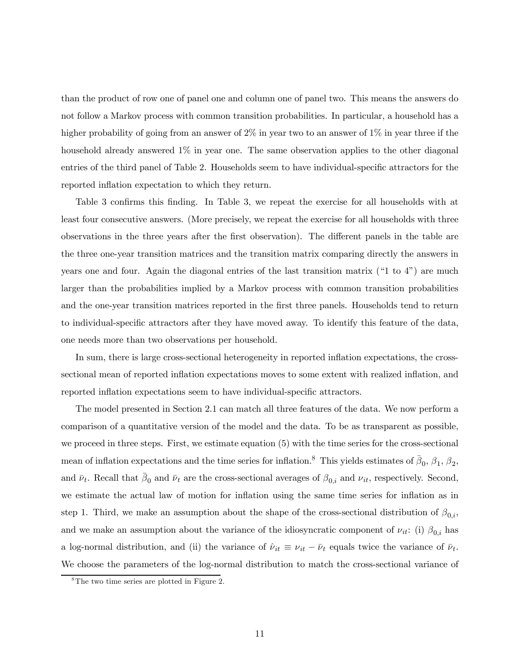than the product of row one of panel one and column one of panel two. This means the answers do not follow a Markov process with common transition probabilities. In particular, a household has a higher probability of going from an answer of 2% in year two to an answer of 1% in year three if the household already answered  $1\%$  in year one. The same observation applies to the other diagonal entries of the third panel of Table 2. Households seem to have individual-specific attractors for the reported inflation expectation to which they return.

Table 3 confirms this finding. In Table 3, we repeat the exercise for all households with at least four consecutive answers. (More precisely, we repeat the exercise for all households with three observations in the three years after the first observation). The different panels in the table are the three one-year transition matrices and the transition matrix comparing directly the answers in years one and four. Again the diagonal entries of the last transition matrix ("1 to 4") are much larger than the probabilities implied by a Markov process with common transition probabilities and the one-year transition matrices reported in the first three panels. Households tend to return to individual-specific attractors after they have moved away. To identify this feature of the data, one needs more than two observations per household.

In sum, there is large cross-sectional heterogeneity in reported inflation expectations, the crosssectional mean of reported inflation expectations moves to some extent with realized inflation, and reported inflation expectations seem to have individual-specific attractors.

The model presented in Section 2.1 can match all three features of the data. We now perform a comparison of a quantitative version of the model and the data. To be as transparent as possible, we proceed in three steps. First, we estimate equation (5) with the time series for the cross-sectional mean of inflation expectations and the time series for inflation.<sup>8</sup> This yields estimates of  $\bar{\beta}_0$ ,  $\beta_1$ ,  $\beta_2$ , and  $\bar{\nu}_t$ . Recall that  $\bar{\beta}_0$  and  $\bar{\nu}_t$  are the cross-sectional averages of  $\beta_{0,i}$  and  $\nu_{it}$ , respectively. Second, we estimate the actual law of motion for inflation using the same time series for inflation as in step 1. Third, we make an assumption about the shape of the cross-sectional distribution of  $\beta_{0,i}$ , and we make an assumption about the variance of the idiosyncratic component of  $\nu_{it}$ : (i)  $\beta_{0,i}$  has a log-normal distribution, and (ii) the variance of  $\hat{\nu}_{it} \equiv \nu_{it} - \bar{\nu}_t$  equals twice the variance of  $\bar{\nu}_t$ . We choose the parameters of the log-normal distribution to match the cross-sectional variance of

<sup>&</sup>lt;sup>8</sup>The two time series are plotted in Figure 2.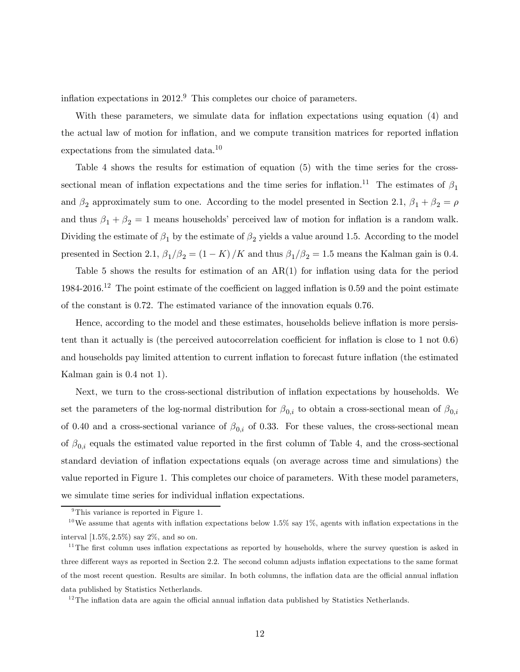inflation expectations in  $2012<sup>9</sup>$ . This completes our choice of parameters.

With these parameters, we simulate data for inflation expectations using equation (4) and the actual law of motion for inflation, and we compute transition matrices for reported inflation expectations from the simulated data.<sup>10</sup>

Table 4 shows the results for estimation of equation (5) with the time series for the crosssectional mean of inflation expectations and the time series for inflation.<sup>11</sup> The estimates of  $\beta_1$ and  $\beta_2$  approximately sum to one. According to the model presented in Section 2.1,  $\beta_1 + \beta_2 = \rho$ and thus  $\beta_1 + \beta_2 = 1$  means households' perceived law of motion for inflation is a random walk. Dividing the estimate of  $\beta_1$  by the estimate of  $\beta_2$  yields a value around 1.5. According to the model presented in Section 2.1,  $\beta_1/\beta_2 = (1 - K)/K$  and thus  $\beta_1/\beta_2 = 1.5$  means the Kalman gain is 0.4.

Table 5 shows the results for estimation of an  $AR(1)$  for inflation using data for the period 1984-2016.12 The point estimate of the coefficient on lagged inflation is 0.59 and the point estimate of the constant is 0.72. The estimated variance of the innovation equals 0.76.

Hence, according to the model and these estimates, households believe inflation is more persistent than it actually is (the perceived autocorrelation coefficient for inflation is close to 1 not 0.6) and households pay limited attention to current inflation to forecast future inflation (the estimated Kalman gain is 0.4 not 1).

Next, we turn to the cross-sectional distribution of inflation expectations by households. We set the parameters of the log-normal distribution for  $\beta_{0,i}$  to obtain a cross-sectional mean of  $\beta_{0,i}$ of 0.40 and a cross-sectional variance of  $\beta_{0,i}$  of 0.33. For these values, the cross-sectional mean of  $\beta_{0,i}$  equals the estimated value reported in the first column of Table 4, and the cross-sectional standard deviation of inflation expectations equals (on average across time and simulations) the value reported in Figure 1. This completes our choice of parameters. With these model parameters, we simulate time series for individual inflation expectations.

<sup>&</sup>lt;sup>9</sup>This variance is reported in Figure 1.

<sup>&</sup>lt;sup>10</sup>We assume that agents with inflation expectations below 1.5% say  $1\%$ , agents with inflation expectations in the interval [1.5%, 2.5%) say 2%, and so on.

 $11$ The first column uses inflation expectations as reported by households, where the survey question is asked in three different ways as reported in Section 2.2. The second column adjusts inflation expectations to the same format of the most recent question. Results are similar. In both columns, the inflation data are the official annual inflation data published by Statistics Netherlands.

 $12$ The inflation data are again the official annual inflation data published by Statistics Netherlands.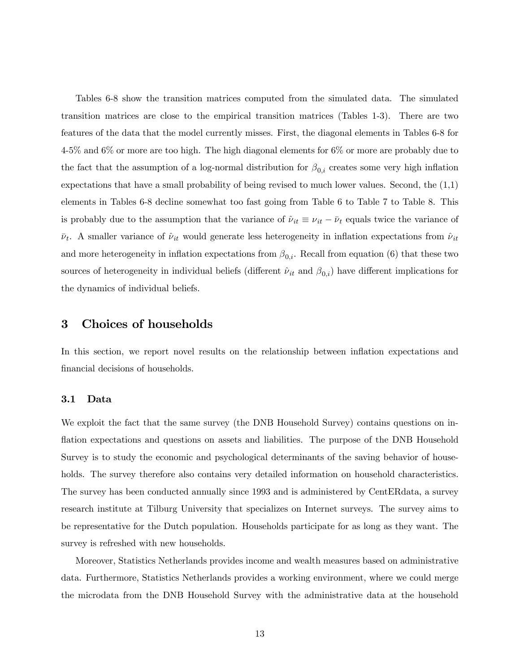Tables 6-8 show the transition matrices computed from the simulated data. The simulated transition matrices are close to the empirical transition matrices (Tables 1-3). There are two features of the data that the model currently misses. First, the diagonal elements in Tables 6-8 for 4-5% and 6% or more are too high. The high diagonal elements for 6% or more are probably due to the fact that the assumption of a log-normal distribution for  $\beta_{0,i}$  creates some very high inflation expectations that have a small probability of being revised to much lower values. Second, the (1,1) elements in Tables 6-8 decline somewhat too fast going from Table 6 to Table 7 to Table 8. This is probably due to the assumption that the variance of  $\hat{\nu}_{it} \equiv \nu_{it} - \bar{\nu}_t$  equals twice the variance of  $\bar{\nu}_t$ . A smaller variance of  $\hat{\nu}_{it}$  would generate less heterogeneity in inflation expectations from  $\hat{\nu}_{it}$ and more heterogeneity in inflation expectations from  $\beta_{0,i}$ . Recall from equation (6) that these two sources of heterogeneity in individual beliefs (different  $\hat{\nu}_{it}$  and  $\beta_{0,i}$ ) have different implications for the dynamics of individual beliefs.

### 3 Choices of households

In this section, we report novel results on the relationship between inflation expectations and financial decisions of households.

### 3.1 Data

We exploit the fact that the same survey (the DNB Household Survey) contains questions on inflation expectations and questions on assets and liabilities. The purpose of the DNB Household Survey is to study the economic and psychological determinants of the saving behavior of households. The survey therefore also contains very detailed information on household characteristics. The survey has been conducted annually since 1993 and is administered by CentERdata, a survey research institute at Tilburg University that specializes on Internet surveys. The survey aims to be representative for the Dutch population. Households participate for as long as they want. The survey is refreshed with new households.

Moreover, Statistics Netherlands provides income and wealth measures based on administrative data. Furthermore, Statistics Netherlands provides a working environment, where we could merge the microdata from the DNB Household Survey with the administrative data at the household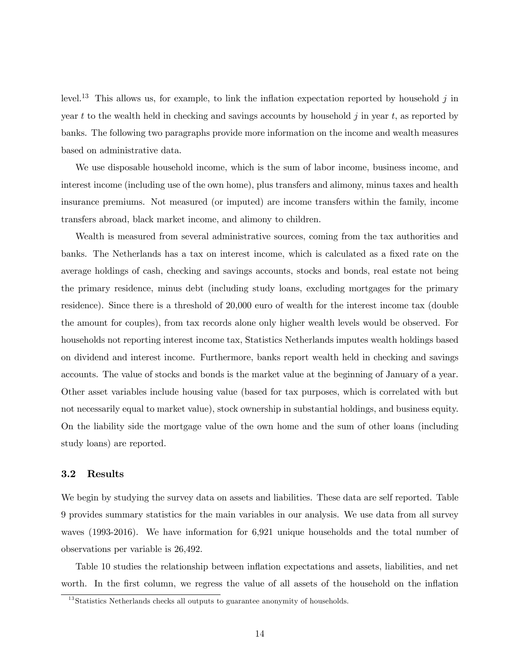level.<sup>13</sup> This allows us, for example, to link the inflation expectation reported by household  $j$  in year t to the wealth held in checking and savings accounts by household  $j$  in year  $t$ , as reported by banks. The following two paragraphs provide more information on the income and wealth measures based on administrative data.

We use disposable household income, which is the sum of labor income, business income, and interest income (including use of the own home), plus transfers and alimony, minus taxes and health insurance premiums. Not measured (or imputed) are income transfers within the family, income transfers abroad, black market income, and alimony to children.

Wealth is measured from several administrative sources, coming from the tax authorities and banks. The Netherlands has a tax on interest income, which is calculated as a fixed rate on the average holdings of cash, checking and savings accounts, stocks and bonds, real estate not being the primary residence, minus debt (including study loans, excluding mortgages for the primary residence). Since there is a threshold of 20,000 euro of wealth for the interest income tax (double the amount for couples), from tax records alone only higher wealth levels would be observed. For households not reporting interest income tax, Statistics Netherlands imputes wealth holdings based on dividend and interest income. Furthermore, banks report wealth held in checking and savings accounts. The value of stocks and bonds is the market value at the beginning of January of a year. Other asset variables include housing value (based for tax purposes, which is correlated with but not necessarily equal to market value), stock ownership in substantial holdings, and business equity. On the liability side the mortgage value of the own home and the sum of other loans (including study loans) are reported.

#### 3.2 Results

We begin by studying the survey data on assets and liabilities. These data are self reported. Table 9 provides summary statistics for the main variables in our analysis. We use data from all survey waves (1993-2016). We have information for 6,921 unique households and the total number of observations per variable is 26,492.

Table 10 studies the relationship between inflation expectations and assets, liabilities, and net worth. In the first column, we regress the value of all assets of the household on the inflation

 $13$ Statistics Netherlands checks all outputs to guarantee anonymity of households.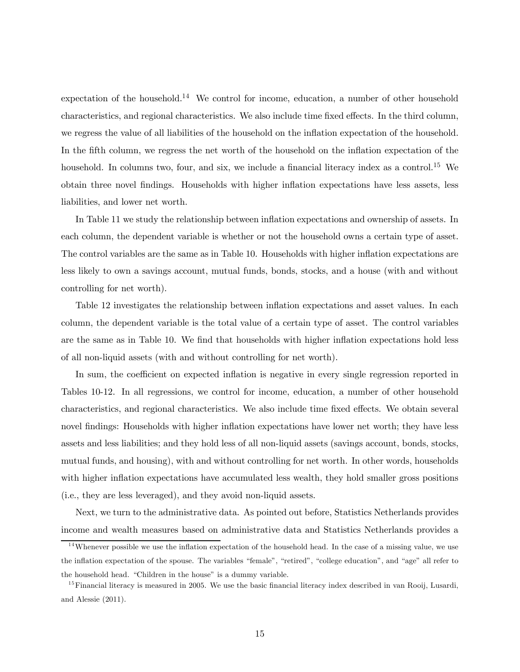expectation of the household.<sup>14</sup> We control for income, education, a number of other household characteristics, and regional characteristics. We also include time fixed effects. In the third column, we regress the value of all liabilities of the household on the inflation expectation of the household. In the fifth column, we regress the net worth of the household on the inflation expectation of the household. In columns two, four, and six, we include a financial literacy index as a control.<sup>15</sup> We obtain three novel findings. Households with higher inflation expectations have less assets, less liabilities, and lower net worth.

In Table 11 we study the relationship between inflation expectations and ownership of assets. In each column, the dependent variable is whether or not the household owns a certain type of asset. The control variables are the same as in Table 10. Households with higher inflation expectations are less likely to own a savings account, mutual funds, bonds, stocks, and a house (with and without controlling for net worth).

Table 12 investigates the relationship between inflation expectations and asset values. In each column, the dependent variable is the total value of a certain type of asset. The control variables are the same as in Table 10. We find that households with higher inflation expectations hold less of all non-liquid assets (with and without controlling for net worth).

In sum, the coefficient on expected inflation is negative in every single regression reported in Tables 10-12. In all regressions, we control for income, education, a number of other household characteristics, and regional characteristics. We also include time fixed effects. We obtain several novel findings: Households with higher inflation expectations have lower net worth; they have less assets and less liabilities; and they hold less of all non-liquid assets (savings account, bonds, stocks, mutual funds, and housing), with and without controlling for net worth. In other words, households with higher inflation expectations have accumulated less wealth, they hold smaller gross positions (i.e., they are less leveraged), and they avoid non-liquid assets.

Next, we turn to the administrative data. As pointed out before, Statistics Netherlands provides income and wealth measures based on administrative data and Statistics Netherlands provides a

 $14$ Whenever possible we use the inflation expectation of the household head. In the case of a missing value, we use the inflation expectation of the spouse. The variables "female", "retired", "college education", and "age" all refer to the household head. "Children in the house" is a dummy variable.

 $15$ Financial literacy is measured in 2005. We use the basic financial literacy index described in van Rooij, Lusardi, and Alessie (2011).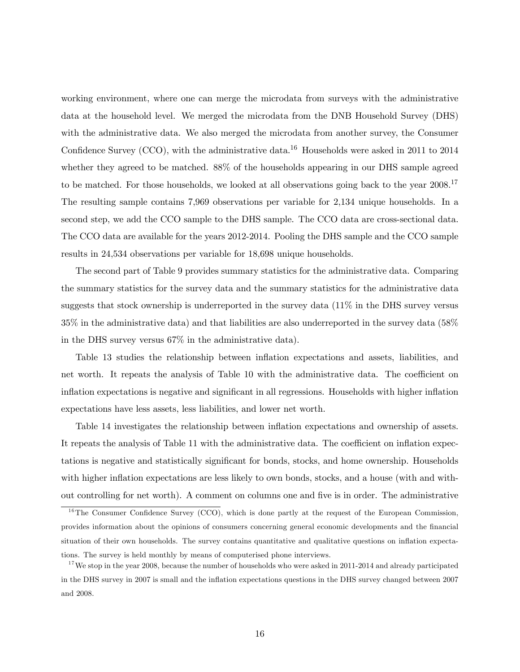working environment, where one can merge the microdata from surveys with the administrative data at the household level. We merged the microdata from the DNB Household Survey (DHS) with the administrative data. We also merged the microdata from another survey, the Consumer Confidence Survey (CCO), with the administrative data.<sup>16</sup> Households were asked in 2011 to 2014 whether they agreed to be matched. 88% of the households appearing in our DHS sample agreed to be matched. For those households, we looked at all observations going back to the year 2008.<sup>17</sup> The resulting sample contains 7,969 observations per variable for 2,134 unique households. In a second step, we add the CCO sample to the DHS sample. The CCO data are cross-sectional data. The CCO data are available for the years 2012-2014. Pooling the DHS sample and the CCO sample results in 24,534 observations per variable for 18,698 unique households.

The second part of Table 9 provides summary statistics for the administrative data. Comparing the summary statistics for the survey data and the summary statistics for the administrative data suggests that stock ownership is underreported in the survey data (11% in the DHS survey versus 35% in the administrative data) and that liabilities are also underreported in the survey data (58% in the DHS survey versus 67% in the administrative data).

Table 13 studies the relationship between inflation expectations and assets, liabilities, and net worth. It repeats the analysis of Table 10 with the administrative data. The coefficient on inflation expectations is negative and significant in all regressions. Households with higher inflation expectations have less assets, less liabilities, and lower net worth.

Table 14 investigates the relationship between inflation expectations and ownership of assets. It repeats the analysis of Table 11 with the administrative data. The coefficient on inflation expectations is negative and statistically significant for bonds, stocks, and home ownership. Households with higher inflation expectations are less likely to own bonds, stocks, and a house (with and without controlling for net worth). A comment on columns one and five is in order. The administrative

 $16$ The Consumer Confidence Survey (CCO), which is done partly at the request of the European Commission, provides information about the opinions of consumers concerning general economic developments and the financial situation of their own households. The survey contains quantitative and qualitative questions on inflation expectations. The survey is held monthly by means of computerised phone interviews.

 $17$  We stop in the year 2008, because the number of households who were asked in 2011-2014 and already participated in the DHS survey in 2007 is small and the inflation expectations questions in the DHS survey changed between 2007 and 2008.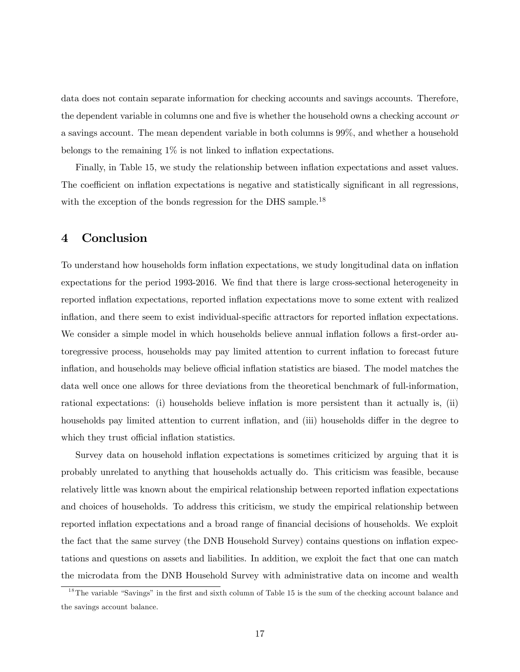data does not contain separate information for checking accounts and savings accounts. Therefore, the dependent variable in columns one and five is whether the household owns a checking account or a savings account. The mean dependent variable in both columns is 99%, and whether a household belongs to the remaining 1% is not linked to inflation expectations.

Finally, in Table 15, we study the relationship between inflation expectations and asset values. The coefficient on inflation expectations is negative and statistically significant in all regressions, with the exception of the bonds regression for the DHS sample.<sup>18</sup>

# 4 Conclusion

To understand how households form inflation expectations, we study longitudinal data on inflation expectations for the period 1993-2016. We find that there is large cross-sectional heterogeneity in reported inflation expectations, reported inflation expectations move to some extent with realized inflation, and there seem to exist individual-specific attractors for reported inflation expectations. We consider a simple model in which households believe annual inflation follows a first-order autoregressive process, households may pay limited attention to current inflation to forecast future inflation, and households may believe official inflation statistics are biased. The model matches the data well once one allows for three deviations from the theoretical benchmark of full-information, rational expectations: (i) households believe inflation is more persistent than it actually is, (ii) households pay limited attention to current inflation, and (iii) households differ in the degree to which they trust official inflation statistics.

Survey data on household inflation expectations is sometimes criticized by arguing that it is probably unrelated to anything that households actually do. This criticism was feasible, because relatively little was known about the empirical relationship between reported inflation expectations and choices of households. To address this criticism, we study the empirical relationship between reported inflation expectations and a broad range of financial decisions of households. We exploit the fact that the same survey (the DNB Household Survey) contains questions on inflation expectations and questions on assets and liabilities. In addition, we exploit the fact that one can match the microdata from the DNB Household Survey with administrative data on income and wealth

 $1<sup>8</sup>$ The variable "Savings" in the first and sixth column of Table 15 is the sum of the checking account balance and the savings account balance.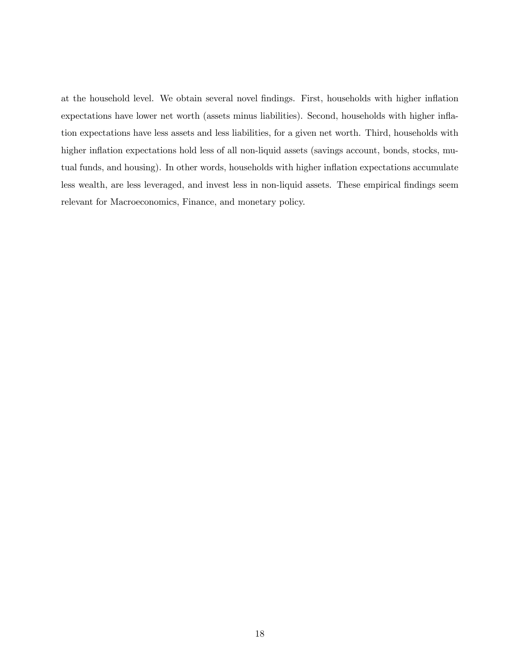at the household level. We obtain several novel findings. First, households with higher inflation expectations have lower net worth (assets minus liabilities). Second, households with higher inflation expectations have less assets and less liabilities, for a given net worth. Third, households with higher inflation expectations hold less of all non-liquid assets (savings account, bonds, stocks, mutual funds, and housing). In other words, households with higher inflation expectations accumulate less wealth, are less leveraged, and invest less in non-liquid assets. These empirical findings seem relevant for Macroeconomics, Finance, and monetary policy.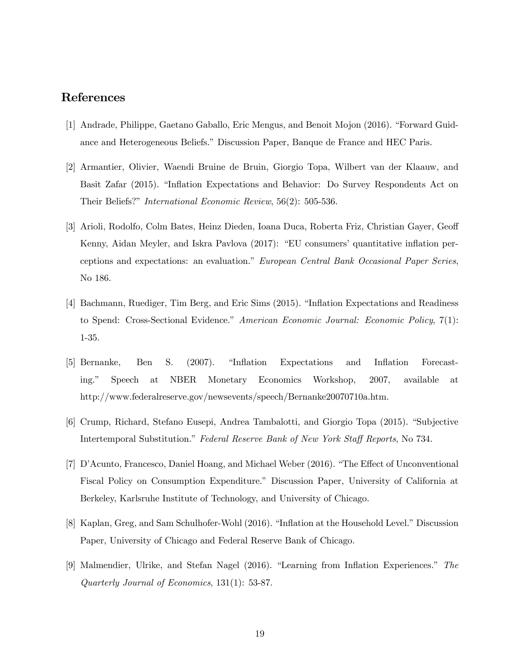# References

- [1] Andrade, Philippe, Gaetano Gaballo, Eric Mengus, and Benoit Mojon (2016). "Forward Guidance and Heterogeneous Beliefs." Discussion Paper, Banque de France and HEC Paris.
- [2] Armantier, Olivier, Waendi Bruine de Bruin, Giorgio Topa, Wilbert van der Klaauw, and Basit Zafar (2015). "Inflation Expectations and Behavior: Do Survey Respondents Act on Their Beliefs?" International Economic Review, 56(2): 505-536.
- [3] Arioli, Rodolfo, Colm Bates, Heinz Dieden, Ioana Duca, Roberta Friz, Christian Gayer, Geoff Kenny, Aidan Meyler, and Iskra Pavlova (2017): "EU consumers' quantitative inflation perceptions and expectations: an evaluation." European Central Bank Occasional Paper Series, No 186.
- [4] Bachmann, Ruediger, Tim Berg, and Eric Sims (2015). "Inflation Expectations and Readiness to Spend: Cross-Sectional Evidence." American Economic Journal: Economic Policy, 7(1): 1-35.
- [5] Bernanke, Ben S. (2007). "Inflation Expectations and Inflation Forecasting." Speech at NBER Monetary Economics Workshop, 2007, available at http://www.federalreserve.gov/newsevents/speech/Bernanke20070710a.htm.
- [6] Crump, Richard, Stefano Eusepi, Andrea Tambalotti, and Giorgio Topa (2015). "Subjective Intertemporal Substitution." Federal Reserve Bank of New York Staff Reports, No 734.
- [7] D'Acunto, Francesco, Daniel Hoang, and Michael Weber (2016). "The Effect of Unconventional Fiscal Policy on Consumption Expenditure." Discussion Paper, University of California at Berkeley, Karlsruhe Institute of Technology, and University of Chicago.
- [8] Kaplan, Greg, and Sam Schulhofer-Wohl (2016). "Inflation at the Household Level." Discussion Paper, University of Chicago and Federal Reserve Bank of Chicago.
- [9] Malmendier, Ulrike, and Stefan Nagel (2016). "Learning from Inflation Experiences." The Quarterly Journal of Economics, 131(1): 53-87.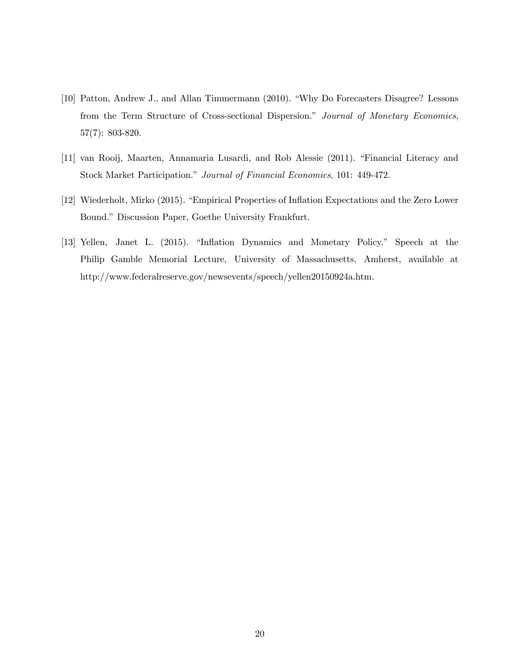- [10] Patton, Andrew J., and Allan Timmermann (2010). "Why Do Forecasters Disagree? Lessons from the Term Structure of Cross-sectional Dispersion." Journal of Monetary Economics, 57(7): 803-820.
- [11] van Rooij, Maarten, Annamaria Lusardi, and Rob Alessie (2011). "Financial Literacy and Stock Market Participation." Journal of Financial Economics, 101: 449-472.
- [12] Wiederholt, Mirko (2015). "Empirical Properties of Inflation Expectations and the Zero Lower Bound." Discussion Paper, Goethe University Frankfurt.
- [13] Yellen, Janet L. (2015). "Inflation Dynamics and Monetary Policy." Speech at the Philip Gamble Memorial Lecture, University of Massachusetts, Amherst, available at http://www.federalreserve.gov/newsevents/speech/yellen20150924a.htm.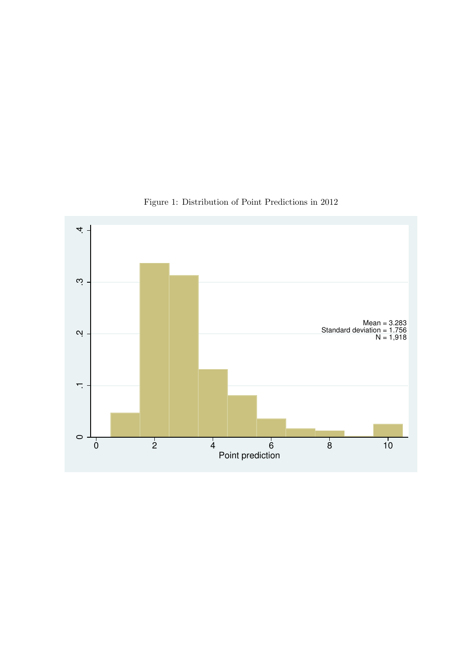

Figure 1: Distribution of Point Predictions in 2012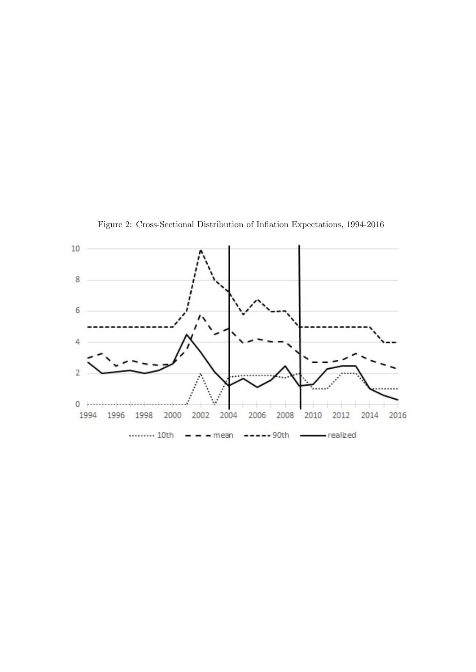

Figure 2: Cross-Sectional Distribution of Inflation Expectations, 1994-2016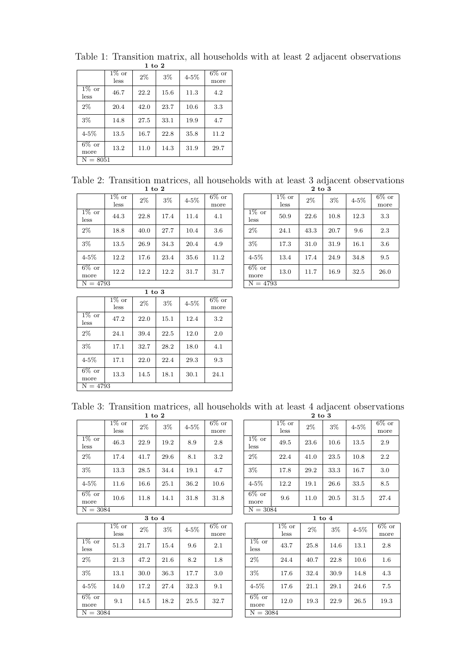| $1 \text{ to } 2$ |                  |      |      |           |                  |  |  |
|-------------------|------------------|------|------|-----------|------------------|--|--|
|                   | $1\%$ or<br>less | 2%   | 3%   | $4 - 5\%$ | $6\%$ or<br>more |  |  |
| $1\%$ or<br>less  | 46.7             | 22.2 | 15.6 | 11.3      | 4.2              |  |  |
| $2\%$             | 20.4             | 42.0 | 23.7 | 10.6      | 3.3              |  |  |
| $3\%$             | 14.8             | 27.5 | 33.1 | 19.9      | 4.7              |  |  |
| $4 - 5\%$         | 13.5             | 16.7 | 22.8 | 35.8      | 11.2             |  |  |
| $6\%$ or<br>more  | 13.2             | 11.0 | 14.3 | 31.9      | 29.7             |  |  |
|                   | $N = 8051$       |      |      |           |                  |  |  |

Table 1: Transition matrix, all households with at least 2 adjacent observations 1 to 2

| Table 2: Transition matrices, all households with at least 3 adjacent observations |        |  |
|------------------------------------------------------------------------------------|--------|--|
| 1 to 2                                                                             | 2 to 3 |  |

| $1$ to $2$                  |                  |         |       |           |                  |  |  |
|-----------------------------|------------------|---------|-------|-----------|------------------|--|--|
|                             | $1\%$ or<br>less | $2\%$   | $3\%$ | $4 - 5\%$ | $6\%$ or<br>more |  |  |
| $1\%$ or<br>less            | 44.3             | 22.8    | 17.4  | 11.4      | 4.1              |  |  |
| $2\%$                       | 18.8             | 40.0    | 27.7  | 10.4      | 3.6              |  |  |
| $3\%$                       | 13.5             | 26.9    | 34.3  | 20.4      | 4.9              |  |  |
| $4 - 5\%$                   | 12.2             | 17.6    | 23.4  | 35.6      | 11.2             |  |  |
| $\overline{6}\%$ or<br>more | 12.2             | 12.2    | 12.2  | 31.7      | 31.7             |  |  |
| $N = 4793$                  |                  |         |       |           |                  |  |  |
|                             |                  | $1 + 9$ |       |           |                  |  |  |

| 1 to 3                      |                  |       |      |           |                  |  |  |
|-----------------------------|------------------|-------|------|-----------|------------------|--|--|
|                             | $1\%$ or<br>less | $2\%$ | 3%   | $4 - 5\%$ | $6\%$ or<br>more |  |  |
| $\overline{1\%}$ or<br>less | 47.2             | 22.0  | 15.1 | 12.4      | 3.2              |  |  |
| $2\%$                       | 24.1             | 39.4  | 22.5 | 12.0      | 2.0              |  |  |
| $3\%$                       | 17.1             | 32.7  | 28.2 | 18.0      | 4.1              |  |  |
| $4 - 5\%$                   | 17.1             | 22.0  | 22.4 | 29.3      | 9.3              |  |  |
| $\overline{6\%}$ or<br>more | 13.3             | 14.5  | 18.1 | 30.1      | 24.1             |  |  |
| $N = 4793$                  |                  |       |      |           |                  |  |  |

| 2 LU J                      |                  |       |      |           |                  |  |  |
|-----------------------------|------------------|-------|------|-----------|------------------|--|--|
|                             | $1\%$ or<br>less | $2\%$ | 3%   | $4 - 5\%$ | $6\%$ or<br>more |  |  |
| $\overline{1\%}$ or<br>less | 50.9             | 22.6  | 10.8 | 12.3      | 3.3              |  |  |
| $2\%$                       | 24.1             | 43.3  | 20.7 | 9.6       | 2.3              |  |  |
| $3\%$                       | 17.3             | 31.0  | 31.9 | 16.1      | 3.6              |  |  |
| $4 - 5\%$                   | 13.4             | 17.4  | 24.9 | 34.8      | 9.5              |  |  |
| $\overline{6}\%$ or<br>more | 13.0             | 11.7  | 16.9 | 32.5      | 26.0             |  |  |
| $N = 4793$                  |                  |       |      |           |                  |  |  |

Table 3: Transition matrices, all households with at least 4 adjacent observations 1 to 2 2 to 3

| 1 LO 4                      |                             |       |       |           |                  |  |  |
|-----------------------------|-----------------------------|-------|-------|-----------|------------------|--|--|
|                             | $\overline{1\%}$ or<br>less | $2\%$ | $3\%$ | $4 - 5\%$ | $6\%$ or<br>more |  |  |
| $\overline{1\%}$ or<br>less | 46.3                        | 22.9  | 19.2  | 8.9       | 2.8              |  |  |
| 2%                          | 17.4                        | 41.7  | 29.6  | 8.1       | 3.2              |  |  |
| $3\%$                       | 13.3                        | 28.5  | 34.4  | 19.1      | 4.7              |  |  |
| $4 - 5\%$                   | 11.6                        | 16.6  | 25.1  | 36.2      | 10.6             |  |  |
| $6\%$ or<br>more            | 10.6                        | 11.8  | 14.1  | 31.8      | 31.8             |  |  |
|                             | $N = 3084$                  |       |       |           |                  |  |  |
|                             |                             |       |       |           |                  |  |  |

| $3$ to $4$                  |                  |       |       |           |                  |  |  |  |
|-----------------------------|------------------|-------|-------|-----------|------------------|--|--|--|
|                             | $1\%$ or<br>less | $2\%$ | $3\%$ | $4 - 5\%$ | $6\%$ or<br>more |  |  |  |
| $\overline{1}\%$ or<br>less | 51.3             | 21.7  | 15.4  | 9.6       | 2.1              |  |  |  |
| $2\%$                       | 21.3             | 47.2  | 21.6  | 8.2       | 1.8              |  |  |  |
| $3\%$                       | 13.1             | 30.0  | 36.3  | 17.7      | 3.0              |  |  |  |
| $4 - 5\%$                   | 14.0             | 17.2  | 27.4  | 32.3      | 9.1              |  |  |  |
| $6\%$ or<br>more            | 9.1              | 14.5  | 18.2  | 25.5      | 32.7             |  |  |  |
|                             | $N = 3084$       |       |       |           |                  |  |  |  |

| $2\;{\rm to}\;3$            |                             |       |      |           |                  |  |
|-----------------------------|-----------------------------|-------|------|-----------|------------------|--|
|                             | $\overline{1}\%$ or<br>less | $2\%$ | 3%   | $4 - 5\%$ | $6\%$ or<br>more |  |
| $\overline{1\%}$ or<br>less | 49.5                        | 23.6  | 10.6 | 13.5      | 2.9              |  |
| $2\%$                       | 22.4                        | 41.0  | 23.5 | 10.8      | 2.2              |  |
| $3\%$                       | 17.8                        | 29.2  | 33.3 | 16.7      | 3.0              |  |
| $4 - 5\%$                   | 12.2                        | 19.1  | 26.6 | 33.5      | 8.5              |  |
| $6\%$ or<br>more            | 9.6                         | 11.0  | 20.5 | 31.5      | 27.4             |  |
| $N = 3084$                  |                             |       |      |           |                  |  |

| 1 to 4                      |                             |      |       |           |                  |  |  |
|-----------------------------|-----------------------------|------|-------|-----------|------------------|--|--|
|                             | $\overline{1\%}$ or<br>less | 2%   | $3\%$ | $4 - 5\%$ | $6\%$ or<br>more |  |  |
| $\overline{1}\%$ or<br>less | 43.7                        | 25.8 | 14.6  | 13.1      | 2.8              |  |  |
| $2\%$                       | 24.4                        | 40.7 | 22.8  | 10.6      | 1.6              |  |  |
| $3\%$                       | 17.6                        | 32.4 | 30.9  | 14.8      | 4.3              |  |  |
| $4 - 5\%$                   | 17.6                        | 21.1 | 29.1  | 24.6      | 7.5              |  |  |
| $6\%$ or<br>more            | 12.0                        | 19.3 | 22.9  | 26.5      | 19.3             |  |  |
| $N = 3084$                  |                             |      |       |           |                  |  |  |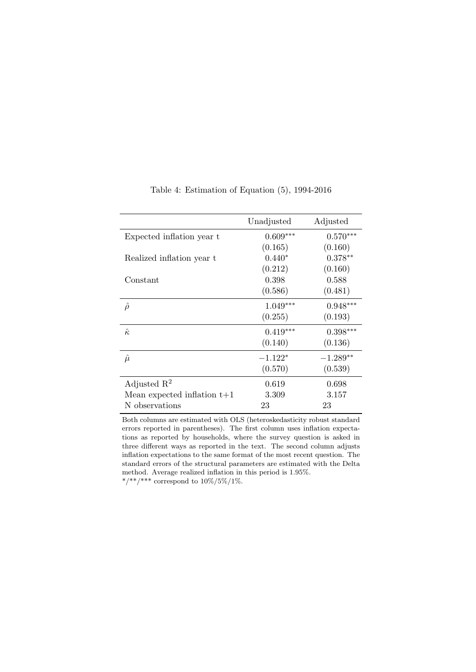|                               | Unadjusted | Adjusted   |
|-------------------------------|------------|------------|
| Expected inflation year t     | $0.609***$ | $0.570***$ |
|                               | (0.165)    | (0.160)    |
| Realized inflation year t     | $0.440*$   | $0.378**$  |
|                               | (0.212)    | (0.160)    |
| Constant                      | 0.398      | 0.588      |
|                               | (0.586)    | (0.481)    |
| $\hat{\rho}$                  | $1.049***$ | $0.948***$ |
|                               | (0.255)    | (0.193)    |
| $\hat{\kappa}$                | $0.419***$ | $0.398***$ |
|                               | (0.140)    | (0.136)    |
| $\hat{\mu}$                   | $-1.122*$  | $-1.289**$ |
|                               | (0.570)    | (0.539)    |
| Adjusted $\mathbb{R}^2$       | 0.619      | 0.698      |
| Mean expected inflation $t+1$ | 3.309      | 3.157      |
| N observations                | 23         | 23         |

Table 4: Estimation of Equation (5), 1994-2016

Both columns are estimated with OLS (heteroskedasticity robust standard errors reported in parentheses). The first column uses inflation expectations as reported by households, where the survey question is asked in three different ways as reported in the text. The second column adjusts inflation expectations to the same format of the most recent question. The standard errors of the structural parameters are estimated with the Delta method. Average realized inflation in this period is 1.95%.  $*$ /\*\*/\*\*\* correspond to  $10\%/5\%/1\%.$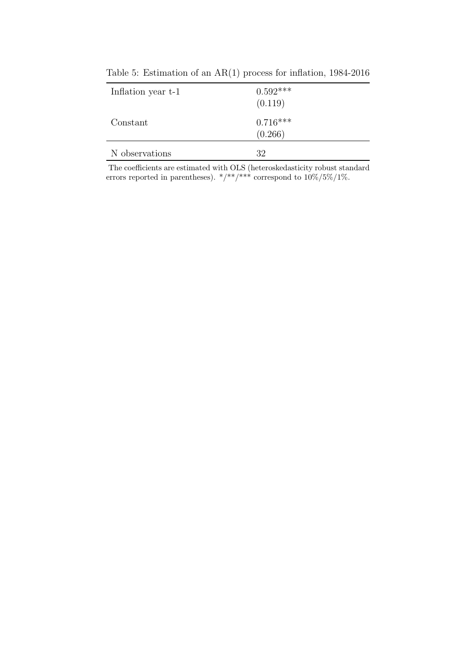| Inflation year t-1 | $0.592***$<br>(0.119) |
|--------------------|-----------------------|
| Constant           | $0.716***$<br>(0.266) |
| N observations     | 32                    |

Table 5: Estimation of an AR(1) process for inflation, 1984-2016

The coefficients are estimated with OLS (heteroskedasticity robust standard errors reported in parentheses).  $*/**/**$  correspond to  $10\%/5\%/1\%$ .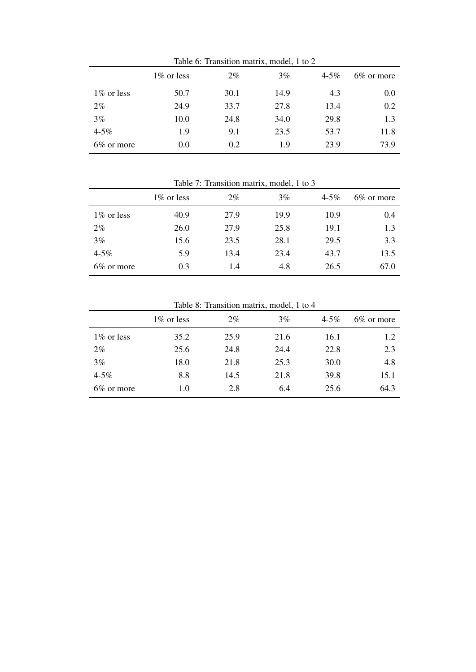Table 6: Transition matrix, model, 1 to 2

|             | 1\% or less | $2\%$ | 3%   | $4 - 5\%$ | $6\%$ or more |
|-------------|-------------|-------|------|-----------|---------------|
| 1\% or less | 50.7        | 30.1  | 14.9 | 4.3       | 0.0           |
| $2\%$       | 24.9        | 33.7  | 27.8 | 13.4      | 0.2           |
| 3%          | 10.0        | 24.8  | 34.0 | 29.8      | 1.3           |
| $4 - 5\%$   | 1.9         | 9.1   | 23.5 | 53.7      | 11.8          |
| 6% or more  | 0.0         | 0.2   | 1.9  | 23.9      | 73.9          |

Table 7: Transition matrix, model, 1 to 3 1% or less 2% 3% 4-5% 6% or more 1% or less 40.9 27.9 19.9 10.9 0.4 2% 26.0 27.9 25.8 19.1 1.3 3% 15.6 23.5 28.1 29.5 3.3 4-5% 5.9 13.4 23.4 43.7 13.5 6% or more 0.3 1.4 4.8 26.5 67.0

|             |             |       | Table 8: Transition matrix, model, 1 to 4 |           |               |
|-------------|-------------|-------|-------------------------------------------|-----------|---------------|
|             | 1\% or less | $2\%$ | 3%                                        | $4 - 5\%$ | $6\%$ or more |
| 1\% or less | 35.2        | 25.9  | 21.6                                      | 16.1      | 1.2           |
| $2\%$       | 25.6        | 24.8  | 24.4                                      | 22.8      | 2.3           |
| 3%          | 18.0        | 21.8  | 25.3                                      | 30.0      | 4.8           |
| $4 - 5\%$   | 8.8         | 14.5  | 21.8                                      | 39.8      | 15.1          |
| 6% or more  | 1.0         | 2.8   | 6.4                                       | 25.6      | 64.3          |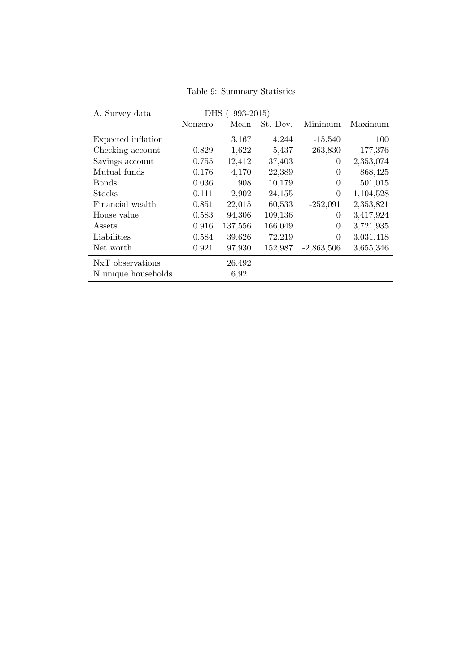| A. Survey data                |         | DHS (1993-2015) |          |              |           |
|-------------------------------|---------|-----------------|----------|--------------|-----------|
|                               | Nonzero | Mean            | St. Dev. | Minimum      | Maximum   |
| Expected inflation            |         | 3.167           | 4.244    | $-15.540$    | 100       |
| Checking account              | 0.829   | 1,622           | 5,437    | $-263,830$   | 177,376   |
| Savings account               | 0.755   | 12,412          | 37,403   | 0            | 2,353,074 |
| Mutual funds                  | 0.176   | 4,170           | 22,389   | 0            | 868,425   |
| <b>Bonds</b>                  | 0.036   | 908             | 10,179   | $\theta$     | 501,015   |
| <b>Stocks</b>                 | 0.111   | 2,902           | 24,155   | $\Omega$     | 1,104,528 |
| Financial wealth              | 0.851   | 22,015          | 60,533   | $-252,091$   | 2,353,821 |
| House value                   | 0.583   | 94,306          | 109,136  | 0            | 3,417,924 |
| Assets                        | 0.916   | 137,556         | 166,049  | 0            | 3,721,935 |
| Liabilities                   | 0.584   | 39,626          | 72,219   | $\Omega$     | 3,031,418 |
| Net worth                     | 0.921   | 97,930          | 152,987  | $-2,863,506$ | 3,655,346 |
| N <sub>x</sub> T observations |         | 26,492          |          |              |           |
| N unique households           |         | 6,921           |          |              |           |

Table 9: Summary Statistics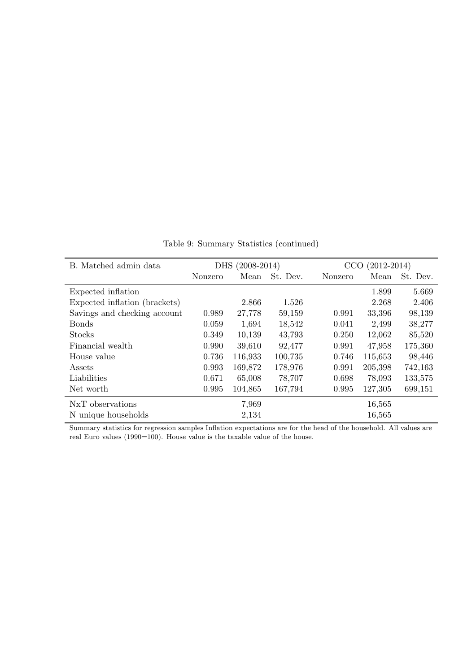| B. Matched admin data         |         | DHS (2008-2014) |          | CCO     | $(2012 - 2014)$ |          |
|-------------------------------|---------|-----------------|----------|---------|-----------------|----------|
|                               | Nonzero | Mean            | St. Dev. | Nonzero | Mean            | St. Dev. |
| Expected inflation            |         |                 |          |         | 1.899           | 5.669    |
| Expected inflation (brackets) |         | 2.866           | 1.526    |         | 2.268           | 2.406    |
| Savings and checking account  | 0.989   | 27,778          | 59,159   | 0.991   | 33,396          | 98,139   |
| <b>Bonds</b>                  | 0.059   | 1,694           | 18,542   | 0.041   | 2,499           | 38,277   |
| <b>Stocks</b>                 | 0.349   | 10,139          | 43,793   | 0.250   | 12,062          | 85,520   |
| Financial wealth              | 0.990   | 39,610          | 92,477   | 0.991   | 47,958          | 175,360  |
| House value                   | 0.736   | 116,933         | 100,735  | 0.746   | 115,653         | 98,446   |
| Assets                        | 0.993   | 169,872         | 178,976  | 0.991   | 205,398         | 742,163  |
| Liabilities                   | 0.671   | 65,008          | 78,707   | 0.698   | 78,093          | 133,575  |
| Net worth                     | 0.995   | 104,865         | 167,794  | 0.995   | 127,305         | 699,151  |
| N <sub>x</sub> T observations |         | 7,969           |          |         | 16,565          |          |
| N unique households           |         | 2,134           |          |         | 16,565          |          |

Table 9: Summary Statistics (continued)

Summary statistics for regression samples Inflation expectations are for the head of the household. All values are real Euro values (1990=100). House value is the taxable value of the house.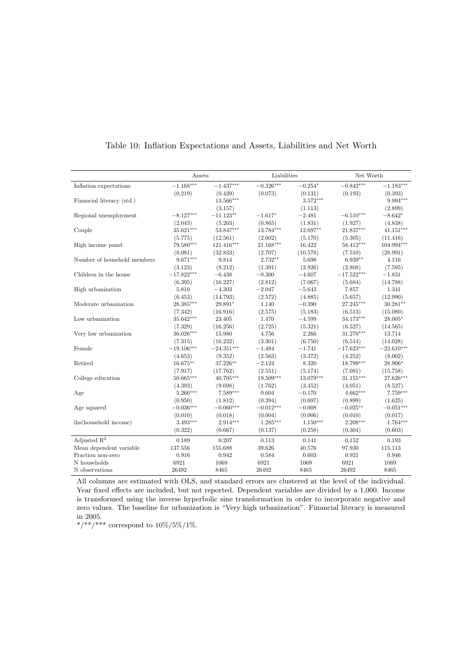|                             | Assets       |              | Liabilities |             | Net Worth    |              |
|-----------------------------|--------------|--------------|-------------|-------------|--------------|--------------|
| Inflation expectations      | $-1.168***$  | $-1.437***$  | $-0.326***$ | $-0.254*$   | $-0.842***$  | $-1.183***$  |
|                             | (0.219)      | (0.439)      | (0.073)     | (0.131)     | (0.193)      | (0.393)      |
| Financial literacy (std.)   |              | $13.566***$  |             | $3.572***$  |              | $9.994***$   |
|                             |              | (3.157)      |             | (1.113)     |              | (2.899)      |
| Regional unemployment       | $-8.127***$  | $-11.123**$  | $-1.617*$   | $-2.481$    | $-6.510***$  | $-8.642*$    |
|                             | (2.043)      | (5.203)      | (0.865)     | (1.831)     | (1.927)      | (4.838)      |
| Couple                      | $35.621***$  | 53.847***    | 13.784***   | 12.697**    | $21.837***$  | $41.151***$  |
|                             | (5.775)      | (12.561)     | (2.602)     | (5.170)     | (5.305)      | (11.416)     |
| High income panel           | 79.580***    | $121.416***$ | $21.168***$ | 16.422      | 58.412***    | 104.994***   |
|                             | (8.081)      | (32.833)     | (2.707)     | (10.578)    | (7.510)      | (28.991)     |
| Number of household members | $9.671***$   | 9.814        | $2.732**$   | 5.698       | $6.939**$    | 4.116        |
|                             | (3.123)      | (8.212)      | (1.391)     | (3.926)     | (2.808)      | (7.595)      |
| Children in the house       | $-17.822***$ | $-6.438$     | $-0.300$    | $-4.607$    | $-17.522***$ | $-1.831$     |
|                             | (6.395)      | (16.227)     | (2.812)     | (7.067)     | (5.684)      | (14.788)     |
| High urbanization           | 5.810        | $-4.303$     | $-2.047$    | $-5.643$    | 7.857        | 1.341        |
|                             | (6.453)      | (14.793)     | (2.572)     | (4.885)     | (5.657)      | (12.990)     |
| Moderate urbanization       | 28.385***    | 29.891*      | 1.140       | $-0.390$    | 27.245***    | $30.281**$   |
|                             | (7.342)      | (16.916)     | (2.575)     | (5.183)     | (6.513)      | (15.080)     |
| Low urbanization            | 35.642***    | 23.405       | 1.470       | $-4.599$    | 34.173***    | 28.005*      |
|                             | (7.329)      | (16.256)     | (2.725)     | (5.321)     | (6.527)      | (14.565)     |
| Very low urbanization       | 36.026***    | 15.980       | 4.756       | 2.266       | $31.270***$  | 13.714       |
|                             | (7.315)      | (16.232)     | (3.301)     | (6.750)     | (6.514)      | (14.028)     |
| Female                      | $-19.106***$ | $-24.351***$ | $-1.484$    | $-1.741$    | $-17.623***$ | $-22.610***$ |
|                             | (4.653)      | (9.352)      | (2.563)     | (3.372)     | (4.252)      | (8.002)      |
| Retired                     | 16.675**     | 37.226**     | $-2.124$    | 8.320       | $18.799***$  | 28.906*      |
|                             | (7.917)      | (17.762)     | (2.551)     | (5.174)     | (7.081)      | (15.758)     |
| College education           | 50.665***    | $40.705***$  | $19.509***$ | $13.079***$ | $31.155***$  | 27.626***    |
|                             | (4.393)      | (9.698)      | (1.762)     | (3.452)     | (4.051)      | (8.527)      |
| Age                         | $5.266***$   | $7.589***$   | 0.604       | $-0.170$    | $4.662***$   | $7.759***$   |
|                             | (0.950)      | (1.812)      | (0.394)     | (0.697)     | (0.899)      | (1.625)      |
| Age squared                 | $-0.036***$  | $-0.060***$  | $-0.012***$ | $-0.008$    | $-0.025**$   | $-0.051***$  |
|                             | (0.010)      | (0.018)      | (0.004)     | (0.006)     | (0.010)      | (0.017)      |
| ihs(household income)       | $3.493***$   | $2.914***$   | $1.285***$  | $1.150***$  | $2.208***$   | $1.764***$   |
|                             | (0.322)      | (0.667)      | (0.137)     | (0.258)     | (0.304)      | (0.603)      |
| Adjusted $\mathbb{R}^2$     | 0.189        | 0.207        | 0.113       | 0.141       | 0.152        | 0.193        |
| Mean dependent variable     | 137.556      | 155.688      | 39.626      | 40.576      | 97.930       | 115.113      |
| Fraction non-zero           | 0.916        | 0.942        | 0.584       | 0.603       | 0.921        | 0.946        |
| N households                | 6921         | 1069         | 6921        | 1069        | 6921         | 1069         |
| N observations              | 26492        | 8465         | 26492       | 8465        | 26492        | 8465         |

### Table 10: Inflation Expectations and Assets, Liabilities and Net Worth

All columns are estimated with OLS, and standard errors are clustered at the level of the individual. Year fixed effects are included, but not reported. Dependent variables are divided by a 1,000. Income is transformed using the inverse hyperbolic sine transformation in order to incorporate negative and zero values. The baseline for urbanization is "Very high urbanization". Financial literacy is measured in 2005.

\*/\*\*/\*\*\* correspond to  $10\%/5\%/1\%.$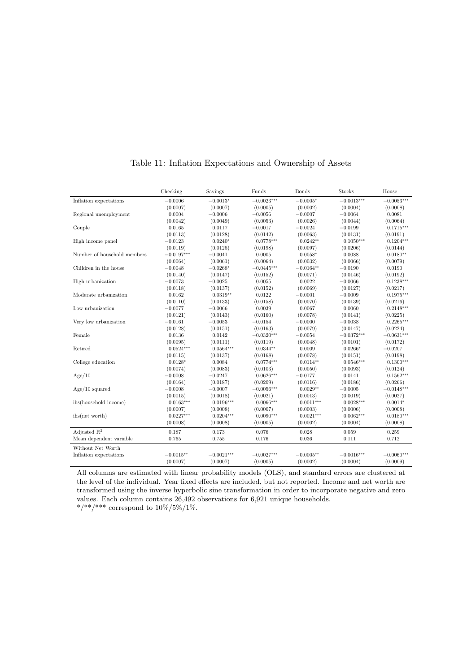|                             | Checking     | Savings      | Funds        | <b>Bonds</b> | <b>Stocks</b> | House        |
|-----------------------------|--------------|--------------|--------------|--------------|---------------|--------------|
| Inflation expectations      | $-0.0006$    | $-0.0013*$   | $-0.0023***$ | $-0.0005*$   | $-0.0013***$  | $-0.0053***$ |
|                             | (0.0007)     | (0.0007)     | (0.0005)     | (0.0002)     | (0.0004)      | (0.0008)     |
| Regional unemployment       | 0.0004       | $-0.0006$    | $-0.0056$    | $-0.0007$    | $-0.0064$     | 0.0081       |
|                             | (0.0042)     | (0.0049)     | (0.0053)     | (0.0026)     | (0.0044)      | (0.0064)     |
| Couple                      | 0.0165       | 0.0117       | $-0.0017$    | $-0.0024$    | $-0.0199$     | $0.1715***$  |
|                             | (0.0113)     | (0.0128)     | (0.0142)     | (0.0063)     | (0.0131)      | (0.0191)     |
| High income panel           | $-0.0123$    | $0.0240*$    | $0.0778***$  | $0.0242**$   | $0.1050***$   | $0.1204***$  |
|                             | (0.0119)     | (0.0125)     | (0.0198)     | (0.0097)     | (0.0206)      | (0.0144)     |
| Number of household members | $-0.0197***$ | $-0.0041$    | 0.0005       | $0.0058*$    | 0.0088        | $0.0180**$   |
|                             | (0.0064)     | (0.0061)     | (0.0064)     | (0.0032)     | (0.0066)      | (0.0079)     |
| Children in the house       | $-0.0048$    | $-0.0268*$   | $-0.0445***$ | $-0.0164**$  | $-0.0190$     | 0.0190       |
|                             | (0.0140)     | (0.0147)     | (0.0152)     | (0.0071)     | (0.0146)      | (0.0192)     |
| High urbanization           | $-0.0073$    | $-0.0025$    | 0.0055       | 0.0022       | $-0.0066$     | $0.1238***$  |
|                             | (0.0118)     | (0.0137)     | (0.0152)     | (0.0069)     | (0.0127)      | (0.0217)     |
| Moderate urbanization       | 0.0162       | $0.0319**$   | 0.0122       | $-0.0001$    | $-0.0009$     | $0.1975***$  |
|                             | (0.0110)     | (0.0133)     | (0.0158)     | (0.0070)     | (0.0139)      | (0.0216)     |
| Low urbanization            | $-0.0077$    | $-0.0066$    | 0.0039       | 0.0067       | 0.0060        | $0.2148***$  |
|                             | (0.0121)     | (0.0143)     | (0.0160)     | (0.0078)     | (0.0141)      | (0.0225)     |
| Very low urbanization       | $-0.0161$    | $-0.0053$    | $-0.0154$    | $-0.0000$    | $-0.0038$     | $0.2265***$  |
|                             | (0.0128)     | (0.0151)     | (0.0163)     | (0.0079)     | (0.0147)      | (0.0224)     |
| Female                      | 0.0136       | 0.0142       | $-0.0320***$ | $-0.0054$    | $-0.0372***$  | $-0.0631***$ |
|                             | (0.0095)     | (0.0111)     | (0.0119)     | (0.0048)     | (0.0101)      | (0.0172)     |
| Retired                     | $0.0524***$  | $0.0564***$  | $0.0344**$   | 0.0009       | $0.0266*$     | $-0.0207$    |
|                             | (0.0115)     | (0.0137)     | (0.0168)     | (0.0078)     | (0.0151)      | (0.0198)     |
| College education           | $0.0128*$    | 0.0084       | $0.0774***$  | $0.0114**$   | $0.0546***$   | $0.1300***$  |
|                             | (0.0074)     | (0.0083)     | (0.0103)     | (0.0050)     | (0.0093)      | (0.0124)     |
| Age/10                      | $-0.0008$    | $-0.0247$    | $0.0626***$  | $-0.0177$    | 0.0141        | $0.1562***$  |
|                             | (0.0164)     | (0.0187)     | (0.0209)     | (0.0116)     | (0.0186)      | (0.0266)     |
| $Age/10$ squared            | $-0.0008$    | $-0.0007$    | $-0.0056***$ | $0.0029**$   | $-0.0005$     | $-0.0148***$ |
|                             | (0.0015)     | (0.0018)     | (0.0021)     | (0.0013)     | (0.0019)      | (0.0027)     |
| ihs(household income)       | $0.0163***$  | $0.0196***$  | $0.0066***$  | $0.0011***$  | $0.0028***$   | $0.0014*$    |
|                             | (0.0007)     | (0.0008)     | (0.0007)     | (0.0003)     | (0.0006)      | (0.0008)     |
| $i$ hs(net worth)           | $0.0227***$  | $0.0204***$  | $0.0090***$  | $0.0021***$  | $0.0062***$   | $0.0180***$  |
|                             | (0.0008)     | (0.0008)     | (0.0005)     | (0.0002)     | (0.0004)      | (0.0008)     |
| Adjusted $\mathbb{R}^2$     | 0.187        | 0.173        | 0.076        | 0.028        | 0.059         | 0.259        |
| Mean dependent variable     | 0.765        | 0.755        | 0.176        | 0.036        | 0.111         | 0.712        |
| Without Net Worth           |              |              |              |              |               |              |
| Inflation expectations      | $-0.0015**$  | $-0.0021***$ | $-0.0027***$ | $-0.0005**$  | $-0.0016***$  | $-0.0060***$ |
|                             | (0.0007)     | (0.0007)     | (0.0005)     | (0.0002)     | (0.0004)      | (0.0009)     |
|                             |              |              |              |              |               |              |

## Table 11: Inflation Expectations and Ownership of Assets

All columns are estimated with linear probability models (OLS), and standard errors are clustered at the level of the individual. Year fixed effects are included, but not reported. Income and net worth are transformed using the inverse hyperbolic sine transformation in order to incorporate negative and zero values. Each column contains 26,492 observations for 6,921 unique households.

 $^*/^{**}/^{***}$  correspond to  $10\%/5\%/1\%.$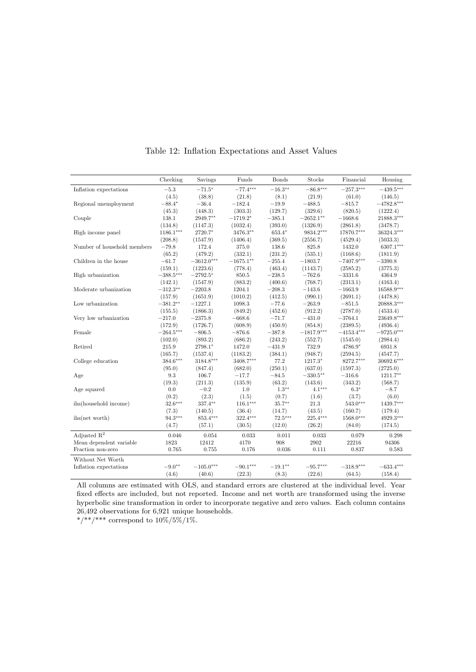|                             | Checking    | Savings      | Funds       | <b>Bonds</b> | Stocks       | Financial    | Housing      |
|-----------------------------|-------------|--------------|-------------|--------------|--------------|--------------|--------------|
| Inflation expectations      | $-5.3$      | $-71.5*$     | $-77.4***$  | $-16.3**$    | $-86.8***$   | $-257.3***$  | $-439.5***$  |
|                             | (4.5)       | (38.8)       | (21.8)      | (8.1)        | (21.9)       | (61.0)       | (146.5)      |
| Regional unemployment       | $-88.4*$    | $-36.4$      | $-182.4$    | $-19.9$      | $-488.5$     | $-815.7$     | $-4782.8***$ |
|                             | (45.3)      | (448.3)      | (303.3)     | (129.7)      | (329.6)      | (820.5)      | (1222.4)     |
| Couple                      | 138.1       | 2949.7**     | $-1719.2*$  | $-385.1$     | $-2652.1**$  | $-1668.6$    | 21888.3***   |
|                             | (134.8)     | (1147.3)     | (1032.4)    | (393.0)      | (1326.9)     | (2861.8)     | (3478.7)     |
| High income panel           | $1186.1***$ | 2720.7*      | 3476.3**    | 653.4*       | 9834.2***    | 17870.7***   | 36324.3***   |
|                             | (208.8)     | (1547.9)     | (1406.4)    | (369.5)      | (2556.7)     | (4529.4)     | (5033.3)     |
| Number of household members | $-79.8$     | 172.4        | 375.0       | 138.6        | 825.8        | 1432.0       | 6307.1***    |
|                             | (65.2)      | (479.2)      | (332.1)     | (231.2)      | (535.1)      | (1168.6)     | (1811.9)     |
| Children in the house       | $-61.7$     | $-3612.0***$ | $-1675.1**$ | $-255.4$     | $-1803.7$    | $-7407.9***$ | $-3390.8$    |
|                             | (159.1)     | (1223.6)     | (778.4)     | (463.4)      | (1143.7)     | (2585.2)     | (3775.3)     |
| High urbanization           | $-388.5***$ | $-2792.5*$   | 850.5       | $-238.5$     | $-762.6$     | $-3331.6$    | 4364.9       |
|                             | (142.1)     | (1547.9)     | (883.2)     | (400.6)      | (768.7)      | (2313.1)     | (4163.4)     |
| Moderate urbanization       | $-312.3**$  | $-2203.8$    | 1204.1      | $-208.3$     | $-143.6$     | $-1663.9$    | 16588.9***   |
|                             | (157.9)     | (1651.9)     | (1010.2)    | (412.5)      | (990.1)      | (2691.1)     | (4478.8)     |
| Low urbanization            | $-381.2**$  | $-1227.1$    | 1098.3      | $-77.6$      | $-263.9$     | $-851.5$     | $20888.3***$ |
|                             | (155.5)     | (1866.3)     | (849.2)     | (452.6)      | (912.2)      | (2787.0)     | (4533.4)     |
| Very low urbanization       | $-217.0$    | $-2375.8$    | $-668.6$    | $-71.7$      | $-431.0$     | $-3764.1$    | 23649.8***   |
|                             | (172.9)     | (1726.7)     | (608.9)     | (450.9)      | (854.8)      | (2389.5)     | (4936.4)     |
| Female                      | $-264.5***$ | $-806.5$     | $-876.6$    | $-387.8$     | $-1817.9***$ | $-4153.4***$ | $-9725.0***$ |
|                             | (102.0)     | (893.2)      | (686.2)     | (243.2)      | (552.7)      | (1545.0)     | (2984.4)     |
| Retired                     | 215.9       | 2798.1*      | 1472.0      | $-431.9$     | 732.9        | 4786.9*      | 6931.8       |
|                             | (165.7)     | (1537.4)     | (1183.2)    | (384.1)      | (948.7)      | (2594.5)     | (4547.7)     |
| College education           | $384.6***$  | 3184.8***    | 3408.7***   | 77.2         | 1217.3*      | 8272.7***    | 30692.6***   |
|                             | (95.0)      | (847.4)      | (682.0)     | (250.1)      | (637.0)      | (1597.3)     | (2725.0)     |
| Age                         | 9.3         | 106.7        | $-17.7$     | $-84.5$      | $-330.5***$  | $-316.6$     | $1211.7**$   |
|                             | (19.3)      | (211.3)      | (135.9)     | (63.2)       | (143.6)      | (343.2)      | (568.7)      |
| Age squared                 | 0.0         | $-0.2$       | 1.0         | $1.3***$     | $4.1***$     | $6.3*$       | $-8.7$       |
|                             | (0.2)       | (2.3)        | (1.5)       | (0.7)        | (1.6)        | (3.7)        | (6.0)        |
| ihs(household income)       | $32.6***$   | 337.4**      | $116.1***$  | $35.7***$    | 21.3         | $543.0***$   | 1439.7***    |
|                             | (7.3)       | (140.5)      | (36.4)      | (14.7)       | (43.5)       | (160.7)      | (179.4)      |
| ihs(net worth)              | $94.3***$   | 853.4***     | 322.4***    | $72.5***$    | $225.4***$   | $1568.0***$  | 4929.3***    |
|                             | (4.7)       | (57.1)       | (30.5)      | (12.0)       | (26.2)       | (84.0)       | (174.5)      |
| Adjusted $\mathbf{R}^2$     | 0.046       | 0.054        | 0.033       | 0.011        | 0.033        | 0.079        | 0.298        |
| Mean dependent variable     | 1823        | 12412        | 4170        | 908          | 2902         | 22216        | 94306        |
| Fraction non-zero           | 0.765       | 0.755        | 0.176       | 0.036        | 0.111        | 0.837        | 0.583        |
| Without Net Worth           |             |              |             |              |              |              |              |
| Inflation expectations      | $-9.0**$    | $-105.0***$  | $-90.1***$  | $-19.1***$   | $-95.7***$   | $-318.9***$  | $-633.4***$  |
|                             | (4.6)       | (40.6)       | (22.3)      | (8.3)        | (22.6)       | (64.5)       | (158.4)      |

Table 12: Inflation Expectations and Asset Values

All columns are estimated with OLS, and standard errors are clustered at the individual level. Year fixed effects are included, but not reported. Income and net worth are transformed using the inverse hyperbolic sine transformation in order to incorporate negative and zero values. Each column contains 26,492 observations for 6,921 unique households.

\*/\*\*/\*\*\* correspond to  $10\%/5\%/1\%$ .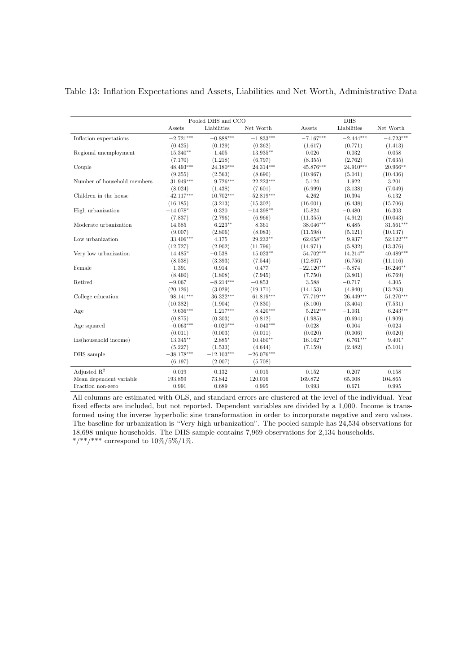|                             |              | Pooled DHS and CCO |              |              | <b>DHS</b>  |             |
|-----------------------------|--------------|--------------------|--------------|--------------|-------------|-------------|
|                             | Assets       | Liabilities        | Net Worth    | Assets       | Liabilities | Net Worth   |
| Inflation expectations      | $-2.721***$  | $-0.888***$        | $-1.833***$  | $-7.167***$  | $-2.444***$ | $-4.723***$ |
|                             | (0.425)      | (0.129)            | (0.362)      | (1.617)      | (0.771)     | (1.413)     |
| Regional unemployment       | $-15.340**$  | $-1.405$           | $-13.935**$  | $-0.026$     | 0.032       | $-0.058$    |
|                             | (7.170)      | (1.218)            | (6.797)      | (8.355)      | (2.762)     | (7.635)     |
| Couple                      | 48.493***    | $24.180***$        | 24.314***    | 45.876***    | $24.910***$ | 20.966**    |
|                             | (9.355)      | (2.563)            | (8.690)      | (10.967)     | (5.041)     | (10.436)    |
| Number of household members | 31.949***    | $9.726***$         | $22.223***$  | 5.124        | 1.922       | 3.201       |
|                             | (8.024)      | (1.438)            | (7.601)      | (6.999)      | (3.138)     | (7.049)     |
| Children in the house       | $-42.117***$ | $10.702***$        | $-52.819***$ | 4.262        | 10.394      | $-6.132$    |
|                             | (16.185)     | (3.213)            | (15.302)     | (16.001)     | (6.438)     | (15.706)    |
| High urbanization           | $-14.078*$   | 0.320              | $-14.398**$  | 15.824       | $-0.480$    | 16.303      |
|                             | (7.837)      | (2.796)            | (6.966)      | (11.355)     | (4.912)     | (10.043)    |
| Moderate urbanization       | 14.585       | $6.223**$          | 8.361        | 38.046***    | 6.485       | $31.561***$ |
|                             | (9.007)      | (2.806)            | (8.083)      | (11.598)     | (5.121)     | (10.137)    |
| Low urbanization            | 33.406***    | 4.175              | 29.232**     | 62.058***    | $9.937*$    | 52.122***   |
|                             | (12.727)     | (2.902)            | (11.796)     | (14.971)     | (5.832)     | (13.376)    |
| Very low urbanization       | 14.485*      | $-0.538$           | $15.023**$   | 54.702***    | $14.214**$  | $40.489***$ |
|                             | (8.538)      | (3.393)            | (7.544)      | (12.807)     | (6.756)     | (11.116)    |
| Female                      | 1.391        | 0.914              | 0.477        | $-22.120***$ | $-5.874$    | $-16.246**$ |
|                             | (8.460)      | (1.808)            | (7.945)      | (7.750)      | (3.801)     | (6.769)     |
| Retired                     | $-9.067$     | $-8.214***$        | $-0.853$     | 3.588        | $-0.717$    | 4.305       |
|                             | (20.126)     | (3.029)            | (19.171)     | (14.153)     | (4.940)     | (13.263)    |
| College education           | 98.141***    | 36.322***          | $61.819***$  | $77.719***$  | $26.449***$ | $51.270***$ |
|                             | (10.382)     | (1.904)            | (9.830)      | (8.100)      | (3.404)     | (7.531)     |
| Age                         | $9.636***$   | $1.217***$         | $8.420***$   | $5.212***$   | $-1.031$    | $6.243***$  |
|                             | (0.875)      | (0.303)            | (0.812)      | (1.985)      | (0.694)     | (1.909)     |
| Age squared                 | $-0.063***$  | $-0.020***$        | $-0.043***$  | $-0.028$     | $-0.004$    | $-0.024$    |
|                             | (0.011)      | (0.003)            | (0.011)      | (0.020)      | (0.006)     | (0.020)     |
| ihs(household income)       | 13.345**     | $2.885*$           | $10.460**$   | $16.162**$   | $6.761***$  | $9.401*$    |
|                             | (5.227)      | (1.533)            | (4.644)      | (7.159)      | (2.482)     | (5.101)     |
| DHS sample                  | $-38.178***$ | $-12.103***$       | $-26.076***$ |              |             |             |
|                             | (6.197)      | (2.007)            | (5.708)      |              |             |             |
| Adjusted $\mathbb{R}^2$     | 0.019        | 0.132              | 0.015        | 0.152        | 0.207       | 0.158       |
| Mean dependent variable     | 193.859      | 73.842             | 120.016      | 169.872      | 65.008      | 104.865     |
| Fraction non-zero           | 0.991        | 0.689              | 0.995        | 0.993        | 0.671       | 0.995       |

Table 13: Inflation Expectations and Assets, Liabilities and Net Worth, Administrative Data

All columns are estimated with OLS, and standard errors are clustered at the level of the individual. Year fixed effects are included, but not reported. Dependent variables are divided by a 1,000. Income is transformed using the inverse hyperbolic sine transformation in order to incorporate negative and zero values. The baseline for urbanization is "Very high urbanization". The pooled sample has 24,534 observations for 18,698 unique households. The DHS sample contains 7,969 observations for 2,134 households.  $^{\ast}/^{\ast\ast}/^{\ast\ast\ast}$  correspond to 10%/5%/1%.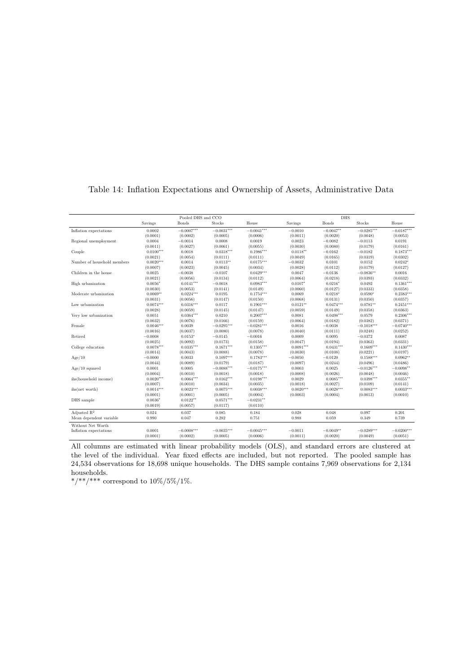|                             |             | Pooled DHS and CCO |              |              |             | <b>DHS</b>   |              |              |
|-----------------------------|-------------|--------------------|--------------|--------------|-------------|--------------|--------------|--------------|
|                             | Savings     | <b>Bonds</b>       | Stocks       | House        | Savings     | <b>Bonds</b> | Stocks       | House        |
| Inflation expectations      | 0.0002      | $-0.0007***$       | $-0.0031***$ | $-0.0041***$ | $-0.0010$   | $-0.0047**$  | $-0.0285***$ | $-0.0187***$ |
|                             | (0.0001)    | (0.0002)           | (0.0005)     | (0.0006)     | (0.0011)    | (0.0020)     | (0.0048)     | (0.0053)     |
| Regional unemployment       | 0.0004      | $-0.0014$          | 0.0008       | 0.0019       | 0.0023      | $-0.0082$    | $-0.0113$    | 0.0191       |
|                             | (0.0011)    | (0.0027)           | (0.0061)     | (0.0055)     | (0.0030)    | (0.0080)     | (0.0179)     | (0.0161)     |
| Couple                      | $0.0100***$ | 0.0018             | $0.0318***$  | $0.1986***$  | $0.0118**$  | $-0.0162$    | $-0.0182$    | $0.1873***$  |
|                             | (0.0021)    | (0.0054)           | (0.0111)     | (0.0111)     | (0.0049)    | (0.0165)     | (0.0319)     | (0.0302)     |
| Number of household members | $0.0020***$ | 0.0014             | $0.0113**$   | $0.0175***$  | $-0.0032$   | 0.0101       | 0.0152       | $0.0242*$    |
|                             | (0.0007)    | (0.0023)           | (0.0045)     | (0.0034)     | (0.0028)    | (0.0112)     | (0.0179)     | (0.0127)     |
| Children in the house       | 0.0025      | $-0.0038$          | $-0.0107$    | $0.0429***$  | 0.0047      | $-0.0136$    | $-0.0836**$  | 0.0016       |
|                             | (0.0021)    | (0.0056)           | (0.0134)     | (0.0112)     | (0.0064)    | (0.0218)     | (0.0393)     | (0.0332)     |
| High urbanization           | $0.0056*$   | $0.0141***$        | $-0.0018$    | $0.0983***$  | $0.0107*$   | $0.0216*$    | 0.0492       | $0.1361***$  |
|                             | (0.0030)    | (0.0053)           | (0.0141)     | (0.0149)     | (0.0060)    | (0.0127)     | (0.0333)     | (0.0358)     |
| Moderate urbanization       | $0.0069**$  | $0.0224***$        | 0.0195       | $0.1754***$  | 0.0069      | $0.0218*$    | $0.0590*$    | $0.2383***$  |
|                             | (0.0031)    | (0.0056)           | (0.0147)     | (0.0150)     | (0.0068)    | (0.0131)     | (0.0350)     | (0.0357)     |
| Low urbanization            | $0.0074***$ | $0.0316***$        | 0.0117       | $0.1901***$  | $0.0121**$  | $0.0474***$  | $0.0781**$   | $0.2451***$  |
|                             | (0.0028)    | (0.0059)           | (0.0145)     | (0.0147)     | (0.0059)    | (0.0149)     | (0.0358)     | (0.0363)     |
| Very low urbanization       | 0.0051      | $0.0364***$        | 0.0210       | $0.2007***$  | 0.0081      | $0.0498***$  | 0.0579       | $0.2306***$  |
|                             | (0.0032)    | (0.0076)           | (0.0166)     | (0.0159)     | (0.0064)    | (0.0182)     | (0.0382)     | (0.0371)     |
| Female                      | $0.0046***$ | 0.0039             | $-0.0295***$ | $-0.0281***$ | 0.0016      | $-0.0038$    | $-0.1018***$ | $-0.0740***$ |
|                             | (0.0016)    | (0.0037)           | (0.0080)     | (0.0078)     | (0.0040)    | (0.0111)     | (0.0248)     | (0.0252)     |
| Retired                     | $-0.0008$   | $0.0153*$          | $-0.0145$    | $-0.0016$    | 0.0009      | 0.0095       | $-0.0372$    | 0.0087       |
|                             | (0.0025)    | (0.0092)           | (0.0173)     | (0.0158)     | (0.0047)    | (0.0194)     | (0.0363)     | (0.0331)     |
| College education           | $0.0078***$ | $0.0335***$        | $0.1671***$  | $0.1305***$  | $0.0091***$ | $0.0431***$  | $0.1609***$  | $0.1430***$  |
|                             | (0.0014)    | (0.0043)           | (0.0088)     | (0.0078)     | (0.0030)    | (0.0108)     | (0.0221)     | (0.0197)     |
| Age/10                      | $-0.0000$   | 0.0033             | $0.1097***$  | $0.1783***$  | $-0.0050$   | $-0.0120$    | $0.1588***$  | $0.0962**$   |
|                             | (0.0044)    | (0.0089)           | (0.0179)     | (0.0187)     | (0.0097)    | (0.0244)     | (0.0496)     | (0.0486)     |
| $Age/10$ squared            | 0.0001      | 0.0005             | $-0.0088***$ | $-0.0175***$ | 0.0003      | 0.0025       | $-0.0126***$ | $-0.0098**$  |
|                             | (0.0004)    | (0.0010)           | (0.0018)     | (0.0018)     | (0.0008)    | (0.0026)     | (0.0048)     | (0.0046)     |
| ihs(household income)       | $0.0020***$ | $0.0064***$        | $0.0162***$  | $0.0198***$  | 0.0029      | $0.0085***$  | $0.0398***$  | $0.0355**$   |
|                             | (0.0007)    | (0.0010)           | (0.0034)     | (0.0035)     | (0.0018)    | (0.0027)     | (0.0109)     | (0.0141)     |
| ihs(net worth)              | $0.0014***$ | $0.0023***$        | $0.0075***$  | $0.0038***$  | $0.0020***$ | $0.0028***$  | $0.0083***$  | $0.0033***$  |
|                             | (0.0001)    | (0.0001)           | (0.0005)     | (0.0004)     | (0.0003)    | (0.0004)     | (0.0013)     | (0.0010)     |
| DHS sample                  | $0.0036*$   | $0.0122**$         | $0.0571***$  | $-0.0231**$  |             |              |              |              |
|                             | (0.0019)    | (0.0057)           | (0.0117)     | (0.0110)     |             |              |              |              |
| Adjusted $\mathbf{R}^2$     | 0.024       | 0.037              | 0.085        | 0.184        | 0.028       | 0.048        | 0.097        | 0.201        |
| Mean dependent variable     | 0.990       | 0.047              | 0.282        | 0.751        | 0.988       | 0.059        | 0.349        | 0.739        |
| Without Net Worth           |             |                    |              |              |             |              |              |              |
| Inflation expectations      | 0.0001      | $-0.0008***$       | $-0.0035***$ | $-0.0045***$ | $-0.0011$   | $-0.0049**$  | $-0.0289***$ | $-0.0200***$ |
|                             | (0.0001)    | (0.0002)           | (0.0005)     | (0.0006)     | (0.0011)    | (0.0020)     | (0.0049)     | (0.0051)     |
|                             |             |                    |              |              |             |              |              |              |

Table 14: Inflation Expectations and Ownership of Assets, Administrative Data

All columns are estimated with linear probability models (OLS), and standard errors are clustered at the level of the individual. Year fixed effects are included, but not reported. The pooled sample has 24,534 observations for 18,698 unique households. The DHS sample contains 7,969 observations for 2,134 households.

\*/\*\*/\*\*\* correspond to  $10\%/5\%/1\%.$